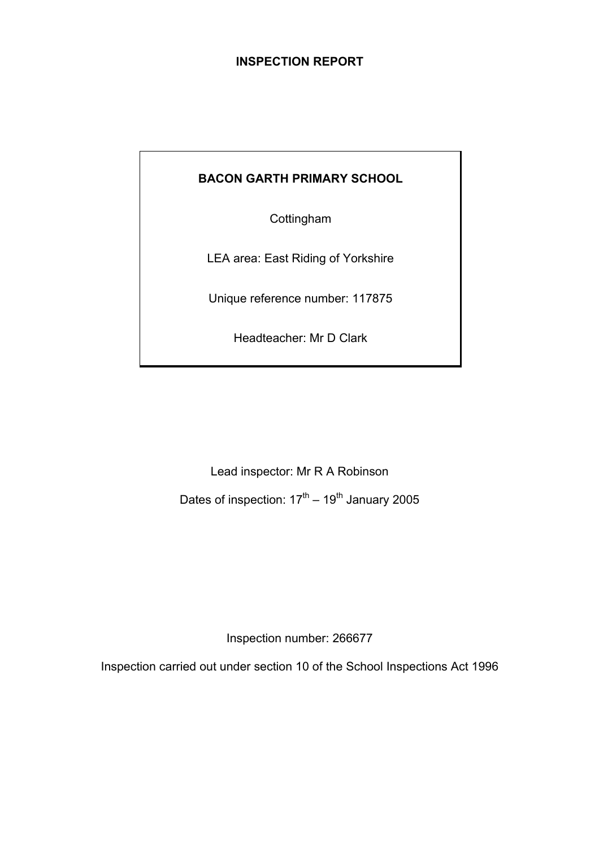## **INSPECTION REPORT**

# **BACON GARTH PRIMARY SCHOOL**

**Cottingham** 

LEA area: East Riding of Yorkshire

Unique reference number: 117875

Headteacher: Mr D Clark

Lead inspector: Mr R A Robinson Dates of inspection:  $17<sup>th</sup> - 19<sup>th</sup>$  January 2005

Inspection number: 266677

Inspection carried out under section 10 of the School Inspections Act 1996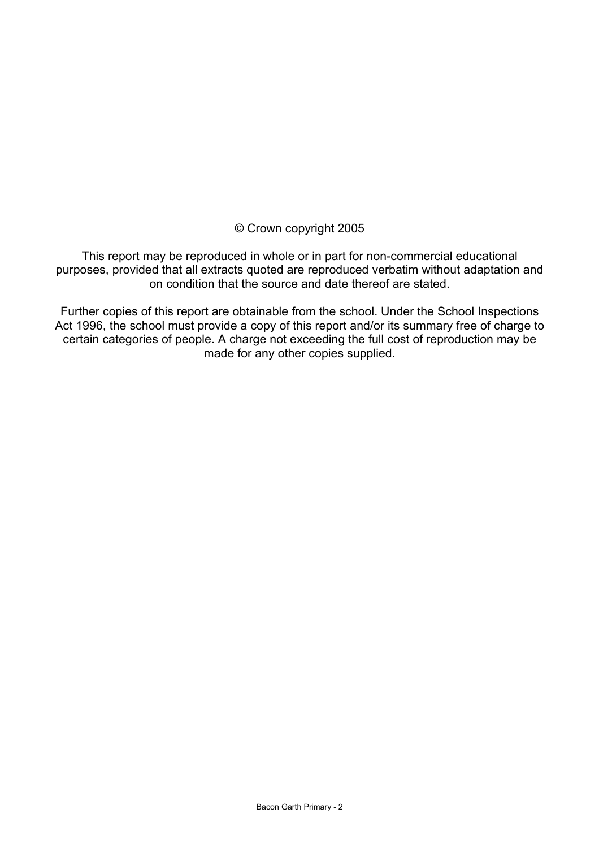## © Crown copyright 2005

This report may be reproduced in whole or in part for non-commercial educational purposes, provided that all extracts quoted are reproduced verbatim without adaptation and on condition that the source and date thereof are stated.

Further copies of this report are obtainable from the school. Under the School Inspections Act 1996, the school must provide a copy of this report and/or its summary free of charge to certain categories of people. A charge not exceeding the full cost of reproduction may be made for any other copies supplied.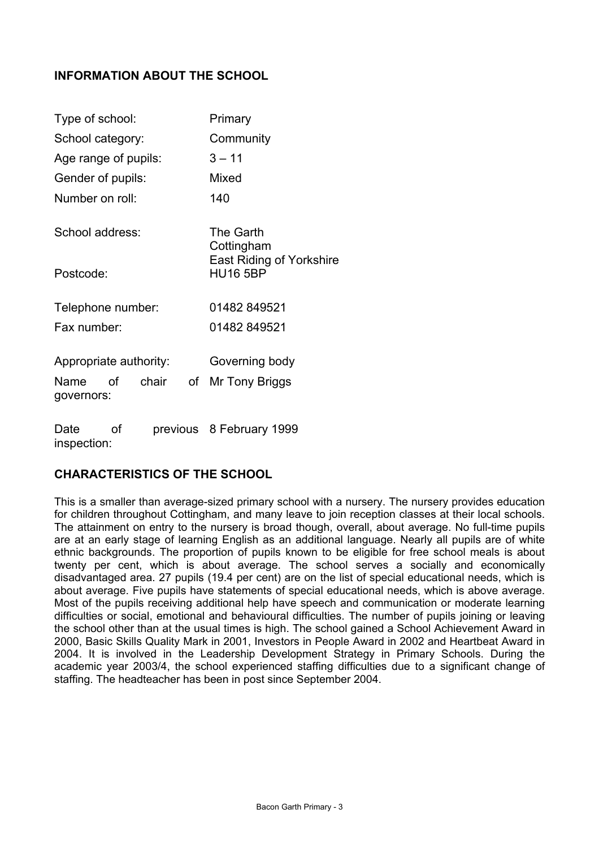# **INFORMATION ABOUT THE SCHOOL**

| Type of school:                                                   | Primary                                            |  |  |
|-------------------------------------------------------------------|----------------------------------------------------|--|--|
| School category:                                                  | Community                                          |  |  |
| Age range of pupils:                                              | $3 - 11$                                           |  |  |
| Gender of pupils:                                                 | Mixed                                              |  |  |
| Number on roll:                                                   | 140                                                |  |  |
| School address:                                                   | The Garth<br>Cottingham                            |  |  |
| Postcode:                                                         | <b>East Riding of Yorkshire</b><br><b>HU16 5BP</b> |  |  |
| Telephone number:                                                 | 01482 849521                                       |  |  |
| Fax number:                                                       | 01482 849521                                       |  |  |
| Appropriate authority:<br>of<br>chair<br>of<br>Name<br>governors: | Governing body<br>Mr Tony Briggs                   |  |  |
| οf<br>Date<br>inspection:                                         | previous 8 February 1999                           |  |  |

## **CHARACTERISTICS OF THE SCHOOL**

This is a smaller than average-sized primary school with a nursery. The nursery provides education for children throughout Cottingham, and many leave to join reception classes at their local schools. The attainment on entry to the nursery is broad though, overall, about average. No full-time pupils are at an early stage of learning English as an additional language. Nearly all pupils are of white ethnic backgrounds. The proportion of pupils known to be eligible for free school meals is about twenty per cent, which is about average. The school serves a socially and economically disadvantaged area. 27 pupils (19.4 per cent) are on the list of special educational needs, which is about average. Five pupils have statements of special educational needs, which is above average. Most of the pupils receiving additional help have speech and communication or moderate learning difficulties or social, emotional and behavioural difficulties. The number of pupils joining or leaving the school other than at the usual times is high. The school gained a School Achievement Award in 2000, Basic Skills Quality Mark in 2001, Investors in People Award in 2002 and Heartbeat Award in 2004. It is involved in the Leadership Development Strategy in Primary Schools. During the academic year 2003/4, the school experienced staffing difficulties due to a significant change of staffing. The headteacher has been in post since September 2004.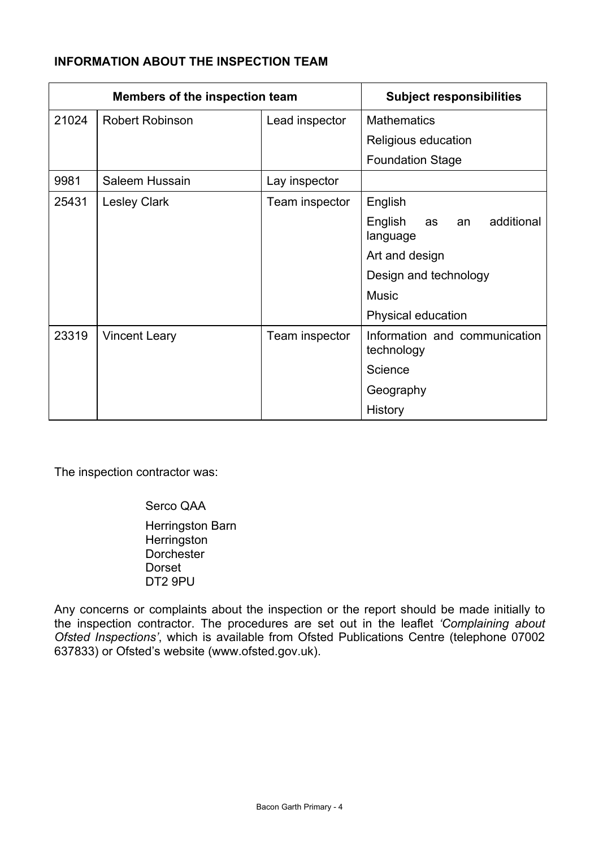# **INFORMATION ABOUT THE INSPECTION TEAM**

| <b>Members of the inspection team</b> |                        | <b>Subject responsibilities</b> |                                               |
|---------------------------------------|------------------------|---------------------------------|-----------------------------------------------|
| 21024                                 | <b>Robert Robinson</b> | Lead inspector                  | <b>Mathematics</b>                            |
|                                       |                        |                                 | Religious education                           |
|                                       |                        |                                 | <b>Foundation Stage</b>                       |
| 9981                                  | Saleem Hussain         | Lay inspector                   |                                               |
| 25431                                 | <b>Lesley Clark</b>    | Team inspector                  | English                                       |
|                                       |                        |                                 | additional<br>English<br>as<br>an<br>language |
|                                       |                        |                                 | Art and design                                |
|                                       |                        |                                 | Design and technology                         |
|                                       |                        |                                 | <b>Music</b>                                  |
|                                       |                        |                                 | Physical education                            |
| 23319                                 | <b>Vincent Leary</b>   | Team inspector                  | Information and communication<br>technology   |
|                                       |                        |                                 | Science                                       |
|                                       |                        |                                 | Geography                                     |
|                                       |                        |                                 | History                                       |

The inspection contractor was:

Serco QAA

 Herringston Barn Herringston **Dorchester**  Dorset DT2 9PU

Any concerns or complaints about the inspection or the report should be made initially to the inspection contractor. The procedures are set out in the leaflet *'Complaining about Ofsted Inspections'*, which is available from Ofsted Publications Centre (telephone 07002 637833) or Ofsted's website (www.ofsted.gov.uk).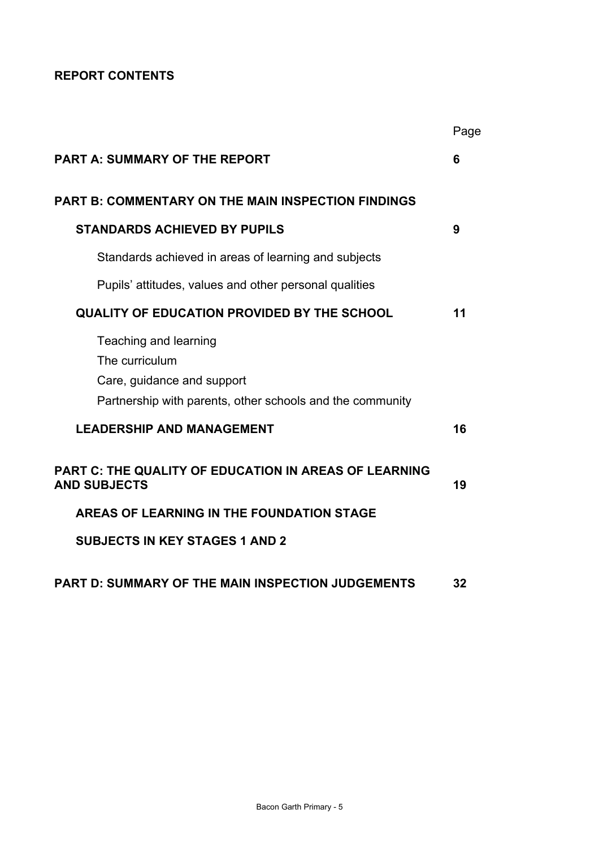# **REPORT CONTENTS**

|                                                                                                                                    | Page |
|------------------------------------------------------------------------------------------------------------------------------------|------|
| <b>PART A: SUMMARY OF THE REPORT</b>                                                                                               | 6    |
| <b>PART B: COMMENTARY ON THE MAIN INSPECTION FINDINGS</b>                                                                          |      |
| <b>STANDARDS ACHIEVED BY PUPILS</b>                                                                                                | 9    |
| Standards achieved in areas of learning and subjects                                                                               |      |
| Pupils' attitudes, values and other personal qualities                                                                             |      |
| <b>QUALITY OF EDUCATION PROVIDED BY THE SCHOOL</b>                                                                                 | 11   |
| Teaching and learning<br>The curriculum<br>Care, guidance and support<br>Partnership with parents, other schools and the community |      |
| <b>LEADERSHIP AND MANAGEMENT</b>                                                                                                   | 16   |
| <b>PART C: THE QUALITY OF EDUCATION IN AREAS OF LEARNING</b><br><b>AND SUBJECTS</b>                                                | 19   |
| AREAS OF LEARNING IN THE FOUNDATION STAGE                                                                                          |      |
| <b>SUBJECTS IN KEY STAGES 1 AND 2</b>                                                                                              |      |
| <b>PART D: SUMMARY OF THE MAIN INSPECTION JUDGEMENTS</b>                                                                           | 32   |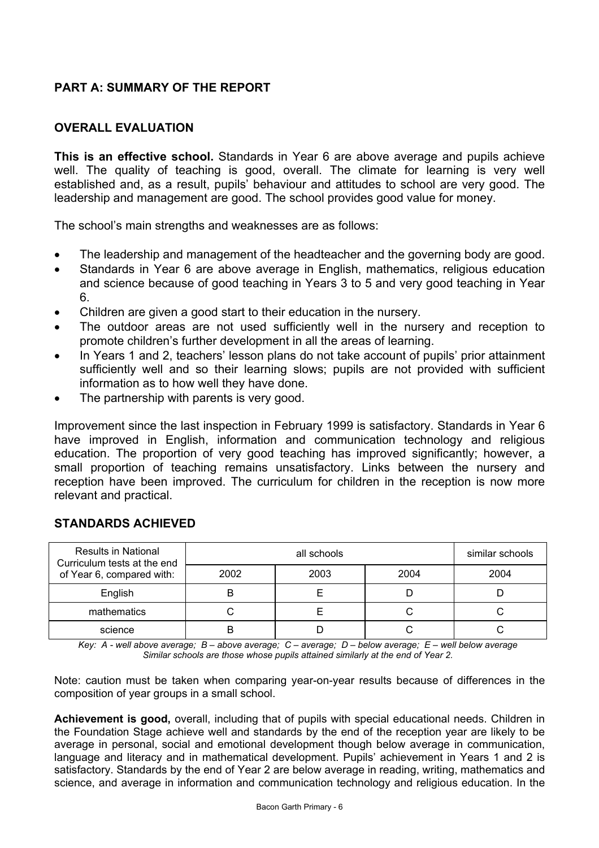# **PART A: SUMMARY OF THE REPORT**

# **OVERALL EVALUATION**

**This is an effective school.** Standards in Year 6 are above average and pupils achieve well. The quality of teaching is good, overall. The climate for learning is very well established and, as a result, pupils' behaviour and attitudes to school are very good. The leadership and management are good. The school provides good value for money.

The school's main strengths and weaknesses are as follows:

- The leadership and management of the headteacher and the governing body are good.
- Standards in Year 6 are above average in English, mathematics, religious education and science because of good teaching in Years 3 to 5 and very good teaching in Year 6.
- Children are given a good start to their education in the nursery.
- The outdoor areas are not used sufficiently well in the nursery and reception to promote children's further development in all the areas of learning.
- In Years 1 and 2, teachers' lesson plans do not take account of pupils' prior attainment sufficiently well and so their learning slows; pupils are not provided with sufficient information as to how well they have done.
- The partnership with parents is very good.

Improvement since the last inspection in February 1999 is satisfactory. Standards in Year 6 have improved in English, information and communication technology and religious education. The proportion of very good teaching has improved significantly; however, a small proportion of teaching remains unsatisfactory. Links between the nursery and reception have been improved. The curriculum for children in the reception is now more relevant and practical.

| <b>Results in National</b><br>Curriculum tests at the end |      | similar schools |      |  |
|-----------------------------------------------------------|------|-----------------|------|--|
| of Year 6, compared with:                                 | 2003 | 2004            | 2004 |  |
| English                                                   |      |                 |      |  |
| mathematics                                               |      |                 |      |  |
| science                                                   |      |                 |      |  |

## **STANDARDS ACHIEVED**

*Key: A - well above average; B – above average; C – average; D – below average; E – well below average Similar schools are those whose pupils attained similarly at the end of Year 2.* 

Note: caution must be taken when comparing year-on-year results because of differences in the composition of year groups in a small school.

**Achievement is good,** overall, including that of pupils with special educational needs. Children in the Foundation Stage achieve well and standards by the end of the reception year are likely to be average in personal, social and emotional development though below average in communication, language and literacy and in mathematical development. Pupils' achievement in Years 1 and 2 is satisfactory. Standards by the end of Year 2 are below average in reading, writing, mathematics and science, and average in information and communication technology and religious education. In the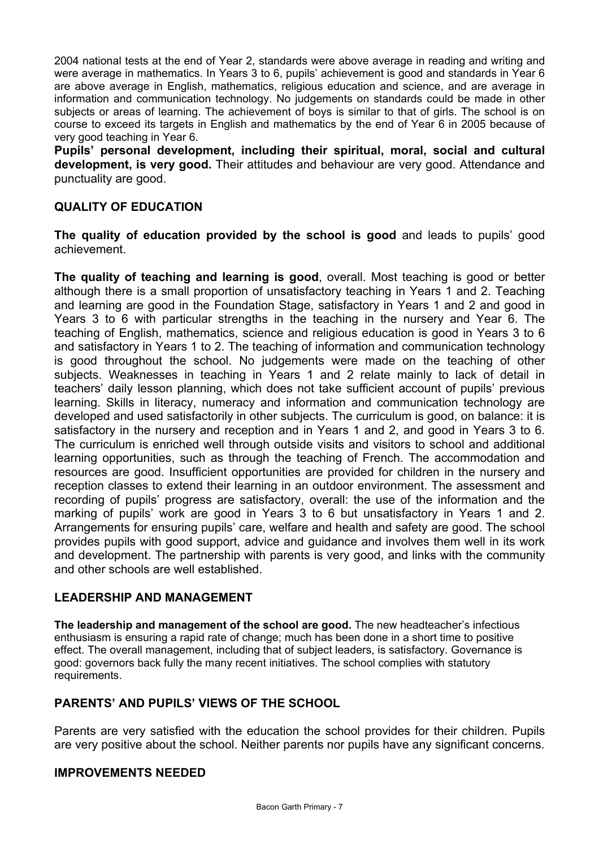2004 national tests at the end of Year 2, standards were above average in reading and writing and were average in mathematics. In Years 3 to 6, pupils' achievement is good and standards in Year 6 are above average in English, mathematics, religious education and science, and are average in information and communication technology. No judgements on standards could be made in other subjects or areas of learning. The achievement of boys is similar to that of girls. The school is on course to exceed its targets in English and mathematics by the end of Year 6 in 2005 because of very good teaching in Year 6.

**Pupils' personal development, including their spiritual, moral, social and cultural development, is very good.** Their attitudes and behaviour are very good. Attendance and punctuality are good.

## **QUALITY OF EDUCATION**

**The quality of education provided by the school is good** and leads to pupils' good achievement.

**The quality of teaching and learning is good**, overall. Most teaching is good or better although there is a small proportion of unsatisfactory teaching in Years 1 and 2. Teaching and learning are good in the Foundation Stage, satisfactory in Years 1 and 2 and good in Years 3 to 6 with particular strengths in the teaching in the nursery and Year 6. The teaching of English, mathematics, science and religious education is good in Years 3 to 6 and satisfactory in Years 1 to 2. The teaching of information and communication technology is good throughout the school. No judgements were made on the teaching of other subjects. Weaknesses in teaching in Years 1 and 2 relate mainly to lack of detail in teachers' daily lesson planning, which does not take sufficient account of pupils' previous learning. Skills in literacy, numeracy and information and communication technology are developed and used satisfactorily in other subjects. The curriculum is good, on balance: it is satisfactory in the nursery and reception and in Years 1 and 2, and good in Years 3 to 6. The curriculum is enriched well through outside visits and visitors to school and additional learning opportunities, such as through the teaching of French. The accommodation and resources are good. Insufficient opportunities are provided for children in the nursery and reception classes to extend their learning in an outdoor environment. The assessment and recording of pupils' progress are satisfactory, overall: the use of the information and the marking of pupils' work are good in Years 3 to 6 but unsatisfactory in Years 1 and 2. Arrangements for ensuring pupils' care, welfare and health and safety are good. The school provides pupils with good support, advice and guidance and involves them well in its work and development. The partnership with parents is very good, and links with the community and other schools are well established.

## **LEADERSHIP AND MANAGEMENT**

**The leadership and management of the school are good.** The new headteacher's infectious enthusiasm is ensuring a rapid rate of change; much has been done in a short time to positive effect. The overall management, including that of subject leaders, is satisfactory. Governance is good: governors back fully the many recent initiatives. The school complies with statutory requirements.

## **PARENTS' AND PUPILS' VIEWS OF THE SCHOOL**

Parents are very satisfied with the education the school provides for their children. Pupils are very positive about the school. Neither parents nor pupils have any significant concerns.

## **IMPROVEMENTS NEEDED**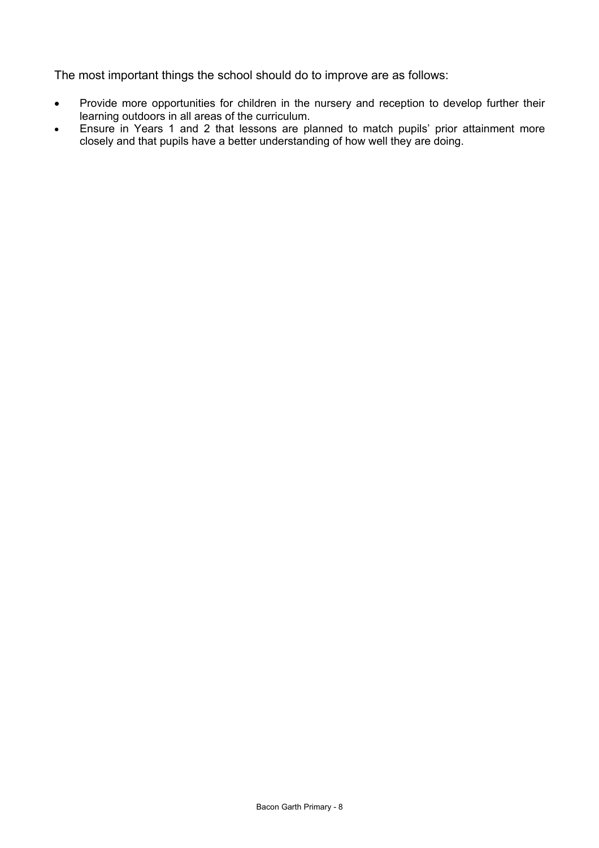The most important things the school should do to improve are as follows:

- Provide more opportunities for children in the nursery and reception to develop further their learning outdoors in all areas of the curriculum.
- Ensure in Years 1 and 2 that lessons are planned to match pupils' prior attainment more closely and that pupils have a better understanding of how well they are doing.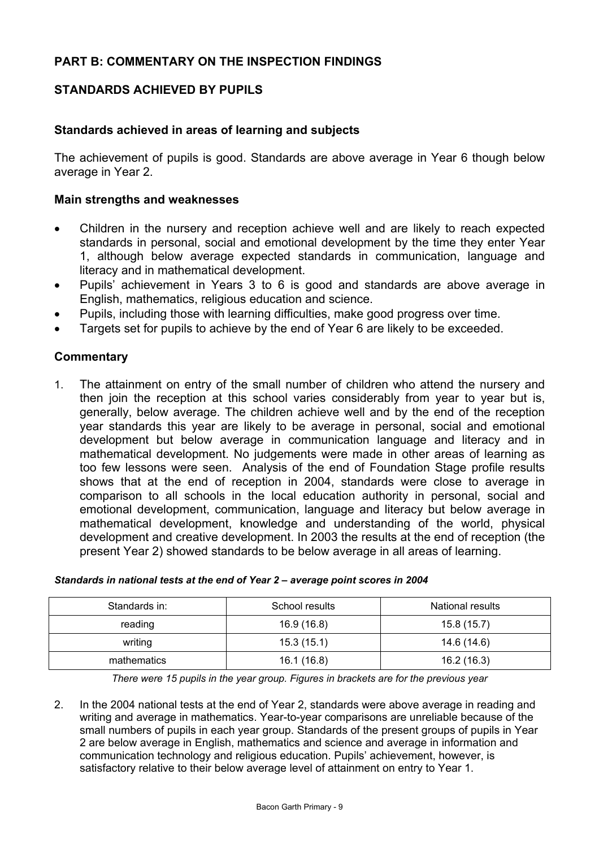## **STANDARDS ACHIEVED BY PUPILS**

### **Standards achieved in areas of learning and subjects**

The achievement of pupils is good. Standards are above average in Year 6 though below average in Year 2.

#### **Main strengths and weaknesses**

- Children in the nursery and reception achieve well and are likely to reach expected standards in personal, social and emotional development by the time they enter Year 1, although below average expected standards in communication, language and literacy and in mathematical development.
- Pupils' achievement in Years 3 to 6 is good and standards are above average in English, mathematics, religious education and science.
- Pupils, including those with learning difficulties, make good progress over time.
- Targets set for pupils to achieve by the end of Year 6 are likely to be exceeded.

#### **Commentary**

1. The attainment on entry of the small number of children who attend the nursery and then join the reception at this school varies considerably from year to year but is, generally, below average. The children achieve well and by the end of the reception year standards this year are likely to be average in personal, social and emotional development but below average in communication language and literacy and in mathematical development. No judgements were made in other areas of learning as too few lessons were seen. Analysis of the end of Foundation Stage profile results shows that at the end of reception in 2004, standards were close to average in comparison to all schools in the local education authority in personal, social and emotional development, communication, language and literacy but below average in mathematical development, knowledge and understanding of the world, physical development and creative development. In 2003 the results at the end of reception (the present Year 2) showed standards to be below average in all areas of learning.

| Standards in: | School results | National results |
|---------------|----------------|------------------|
| reading       | 16.9 (16.8)    | 15.8 (15.7)      |
| writing       | 15.3(15.1)     | 14.6 (14.6)      |
| mathematics   | 16.1 (16.8)    | 16.2 (16.3)      |

#### *Standards in national tests at the end of Year 2 – average point scores in 2004*

*There were 15 pupils in the year group. Figures in brackets are for the previous year* 

2. In the 2004 national tests at the end of Year 2, standards were above average in reading and writing and average in mathematics. Year-to-year comparisons are unreliable because of the small numbers of pupils in each year group. Standards of the present groups of pupils in Year 2 are below average in English, mathematics and science and average in information and communication technology and religious education. Pupils' achievement, however, is satisfactory relative to their below average level of attainment on entry to Year 1.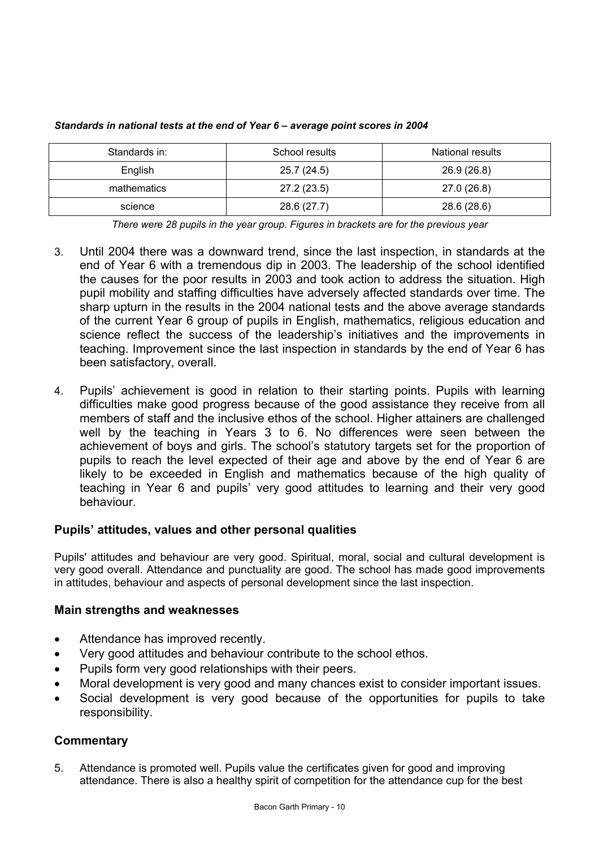| Standards in: | School results | National results |
|---------------|----------------|------------------|
| English       | 25.7 (24.5)    | 26.9 (26.8)      |
| mathematics   | 27.2 (23.5)    | 27.0 (26.8)      |
| science       | 28.6 (27.7)    | 28.6 (28.6)      |

*Standards in national tests at the end of Year 6 – average point scores in 2004* 

*There were 28 pupils in the year group. Figures in brackets are for the previous year* 

- 3. Until 2004 there was a downward trend, since the last inspection, in standards at the end of Year 6 with a tremendous dip in 2003. The leadership of the school identified the causes for the poor results in 2003 and took action to address the situation. High pupil mobility and staffing difficulties have adversely affected standards over time. The sharp upturn in the results in the 2004 national tests and the above average standards of the current Year 6 group of pupils in English, mathematics, religious education and science reflect the success of the leadership's initiatives and the improvements in teaching. Improvement since the last inspection in standards by the end of Year 6 has been satisfactory, overall.
- 4. Pupils' achievement is good in relation to their starting points. Pupils with learning difficulties make good progress because of the good assistance they receive from all members of staff and the inclusive ethos of the school. Higher attainers are challenged well by the teaching in Years 3 to 6. No differences were seen between the achievement of boys and girls. The school's statutory targets set for the proportion of pupils to reach the level expected of their age and above by the end of Year 6 are likely to be exceeded in English and mathematics because of the high quality of teaching in Year 6 and pupils' very good attitudes to learning and their very good behaviour.

## **Pupils' attitudes, values and other personal qualities**

Pupils' attitudes and behaviour are very good. Spiritual, moral, social and cultural development is very good overall. Attendance and punctuality are good. The school has made good improvements in attitudes, behaviour and aspects of personal development since the last inspection.

## **Main strengths and weaknesses**

- Attendance has improved recently.
- Very good attitudes and behaviour contribute to the school ethos.
- Pupils form very good relationships with their peers.
- Moral development is very good and many chances exist to consider important issues.
- Social development is very good because of the opportunities for pupils to take responsibility.

## **Commentary**

5. Attendance is promoted well. Pupils value the certificates given for good and improving attendance. There is also a healthy spirit of competition for the attendance cup for the best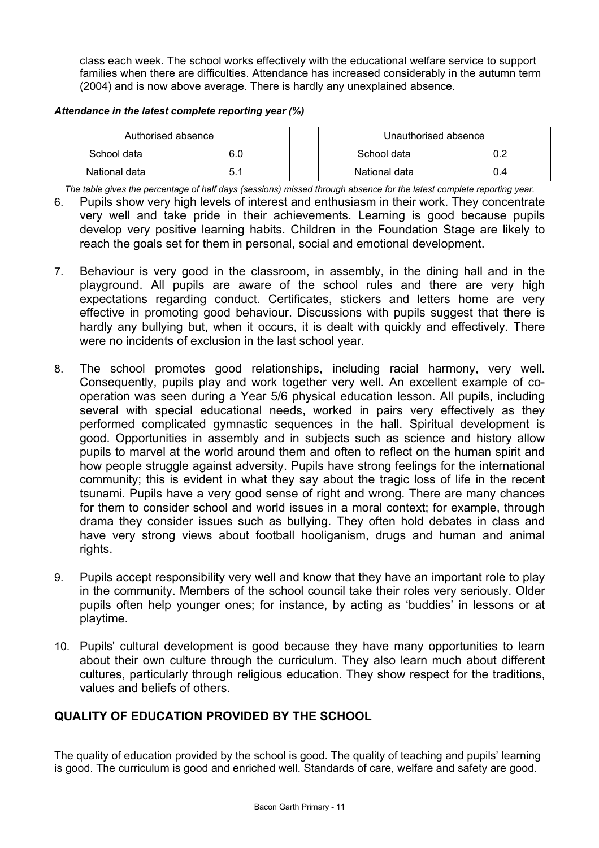class each week. The school works effectively with the educational welfare service to support families when there are difficulties. Attendance has increased considerably in the autumn term (2004) and is now above average. There is hardly any unexplained absence.

#### *Attendance in the latest complete reporting year (%)*

| Authorised absence |             | Unauthorised absence |     |
|--------------------|-------------|----------------------|-----|
| School data        | 6.0         | School data          |     |
| National data      | <u>ບ. ເ</u> | National data        | J.4 |

*The table gives the percentage of half days (sessions) missed through absence for the latest complete reporting year.*

- 6. Pupils show very high levels of interest and enthusiasm in their work. They concentrate very well and take pride in their achievements. Learning is good because pupils develop very positive learning habits. Children in the Foundation Stage are likely to reach the goals set for them in personal, social and emotional development.
- 7. Behaviour is very good in the classroom, in assembly, in the dining hall and in the playground. All pupils are aware of the school rules and there are very high expectations regarding conduct. Certificates, stickers and letters home are very effective in promoting good behaviour. Discussions with pupils suggest that there is hardly any bullying but, when it occurs, it is dealt with quickly and effectively. There were no incidents of exclusion in the last school year.
- 8. The school promotes good relationships, including racial harmony, very well. Consequently, pupils play and work together very well. An excellent example of cooperation was seen during a Year 5/6 physical education lesson. All pupils, including several with special educational needs, worked in pairs very effectively as they performed complicated gymnastic sequences in the hall. Spiritual development is good. Opportunities in assembly and in subjects such as science and history allow pupils to marvel at the world around them and often to reflect on the human spirit and how people struggle against adversity. Pupils have strong feelings for the international community; this is evident in what they say about the tragic loss of life in the recent tsunami. Pupils have a very good sense of right and wrong. There are many chances for them to consider school and world issues in a moral context; for example, through drama they consider issues such as bullying. They often hold debates in class and have very strong views about football hooliganism, drugs and human and animal rights.
- 9. Pupils accept responsibility very well and know that they have an important role to play in the community. Members of the school council take their roles very seriously. Older pupils often help younger ones; for instance, by acting as 'buddies' in lessons or at playtime.
- 10. Pupils' cultural development is good because they have many opportunities to learn about their own culture through the curriculum. They also learn much about different cultures, particularly through religious education. They show respect for the traditions, values and beliefs of others.

## **QUALITY OF EDUCATION PROVIDED BY THE SCHOOL**

The quality of education provided by the school is good. The quality of teaching and pupils' learning is good. The curriculum is good and enriched well. Standards of care, welfare and safety are good.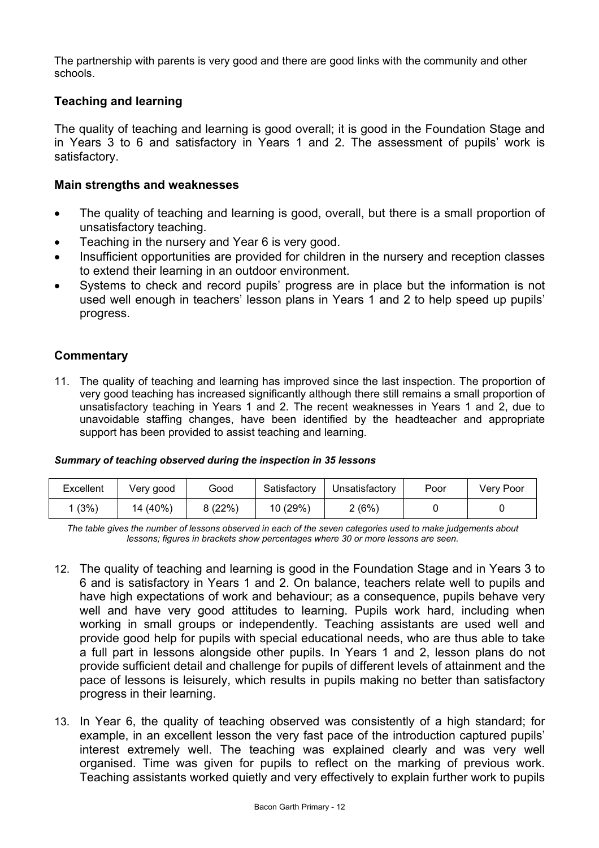The partnership with parents is very good and there are good links with the community and other schools.

## **Teaching and learning**

The quality of teaching and learning is good overall; it is good in the Foundation Stage and in Years 3 to 6 and satisfactory in Years 1 and 2. The assessment of pupils' work is satisfactory.

### **Main strengths and weaknesses**

- The quality of teaching and learning is good, overall, but there is a small proportion of unsatisfactory teaching.
- Teaching in the nursery and Year 6 is very good.
- Insufficient opportunities are provided for children in the nursery and reception classes to extend their learning in an outdoor environment.
- Systems to check and record pupils' progress are in place but the information is not used well enough in teachers' lesson plans in Years 1 and 2 to help speed up pupils' progress.

## **Commentary**

11. The quality of teaching and learning has improved since the last inspection. The proportion of very good teaching has increased significantly although there still remains a small proportion of unsatisfactory teaching in Years 1 and 2. The recent weaknesses in Years 1 and 2, due to unavoidable staffing changes, have been identified by the headteacher and appropriate support has been provided to assist teaching and learning.

#### *Summary of teaching observed during the inspection in 35 lessons*

| Excellent | Very good | Good   | Satisfactory | Unsatisfactory | Poor | Very Poor |
|-----------|-----------|--------|--------------|----------------|------|-----------|
| (3%)      | 14 (40%)  | 8(22%) | 10 (29%)     | 2(6%)          |      |           |

*The table gives the number of lessons observed in each of the seven categories used to make judgements about lessons; figures in brackets show percentages where 30 or more lessons are seen.*

- 12. The quality of teaching and learning is good in the Foundation Stage and in Years 3 to 6 and is satisfactory in Years 1 and 2. On balance, teachers relate well to pupils and have high expectations of work and behaviour; as a consequence, pupils behave very well and have very good attitudes to learning. Pupils work hard, including when working in small groups or independently. Teaching assistants are used well and provide good help for pupils with special educational needs, who are thus able to take a full part in lessons alongside other pupils. In Years 1 and 2, lesson plans do not provide sufficient detail and challenge for pupils of different levels of attainment and the pace of lessons is leisurely, which results in pupils making no better than satisfactory progress in their learning.
- 13. In Year 6, the quality of teaching observed was consistently of a high standard; for example, in an excellent lesson the very fast pace of the introduction captured pupils' interest extremely well. The teaching was explained clearly and was very well organised. Time was given for pupils to reflect on the marking of previous work. Teaching assistants worked quietly and very effectively to explain further work to pupils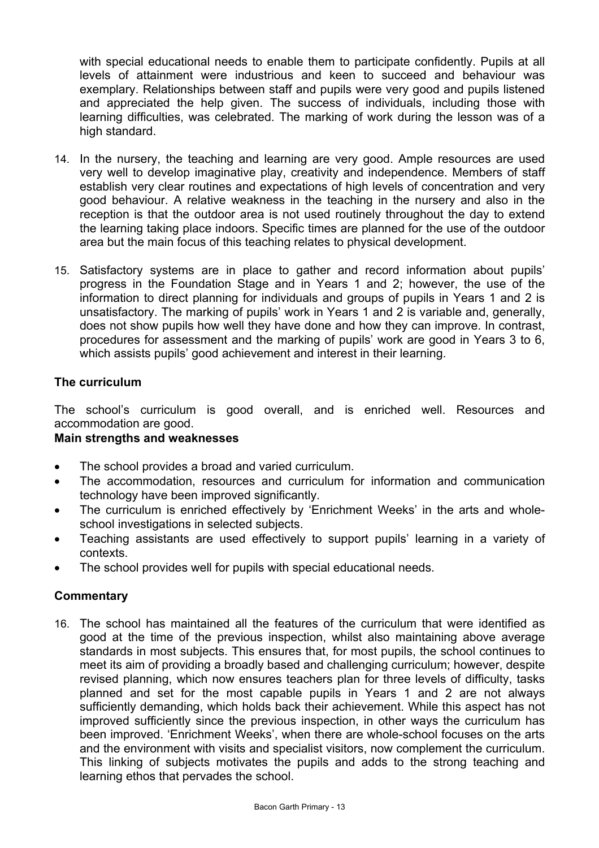with special educational needs to enable them to participate confidently. Pupils at all levels of attainment were industrious and keen to succeed and behaviour was exemplary. Relationships between staff and pupils were very good and pupils listened and appreciated the help given. The success of individuals, including those with learning difficulties, was celebrated. The marking of work during the lesson was of a high standard.

- 14. In the nursery, the teaching and learning are very good. Ample resources are used very well to develop imaginative play, creativity and independence. Members of staff establish very clear routines and expectations of high levels of concentration and very good behaviour. A relative weakness in the teaching in the nursery and also in the reception is that the outdoor area is not used routinely throughout the day to extend the learning taking place indoors. Specific times are planned for the use of the outdoor area but the main focus of this teaching relates to physical development.
- 15. Satisfactory systems are in place to gather and record information about pupils' progress in the Foundation Stage and in Years 1 and 2; however, the use of the information to direct planning for individuals and groups of pupils in Years 1 and 2 is unsatisfactory. The marking of pupils' work in Years 1 and 2 is variable and, generally, does not show pupils how well they have done and how they can improve. In contrast, procedures for assessment and the marking of pupils' work are good in Years 3 to 6, which assists pupils' good achievement and interest in their learning.

## **The curriculum**

The school's curriculum is good overall, and is enriched well. Resources and accommodation are good.

## **Main strengths and weaknesses**

- The school provides a broad and varied curriculum.
- The accommodation, resources and curriculum for information and communication technology have been improved significantly.
- The curriculum is enriched effectively by 'Enrichment Weeks' in the arts and wholeschool investigations in selected subjects.
- Teaching assistants are used effectively to support pupils' learning in a variety of contexts.
- The school provides well for pupils with special educational needs.

## **Commentary**

16. The school has maintained all the features of the curriculum that were identified as good at the time of the previous inspection, whilst also maintaining above average standards in most subjects. This ensures that, for most pupils, the school continues to meet its aim of providing a broadly based and challenging curriculum; however, despite revised planning, which now ensures teachers plan for three levels of difficulty, tasks planned and set for the most capable pupils in Years 1 and 2 are not always sufficiently demanding, which holds back their achievement. While this aspect has not improved sufficiently since the previous inspection, in other ways the curriculum has been improved. 'Enrichment Weeks', when there are whole-school focuses on the arts and the environment with visits and specialist visitors, now complement the curriculum. This linking of subjects motivates the pupils and adds to the strong teaching and learning ethos that pervades the school.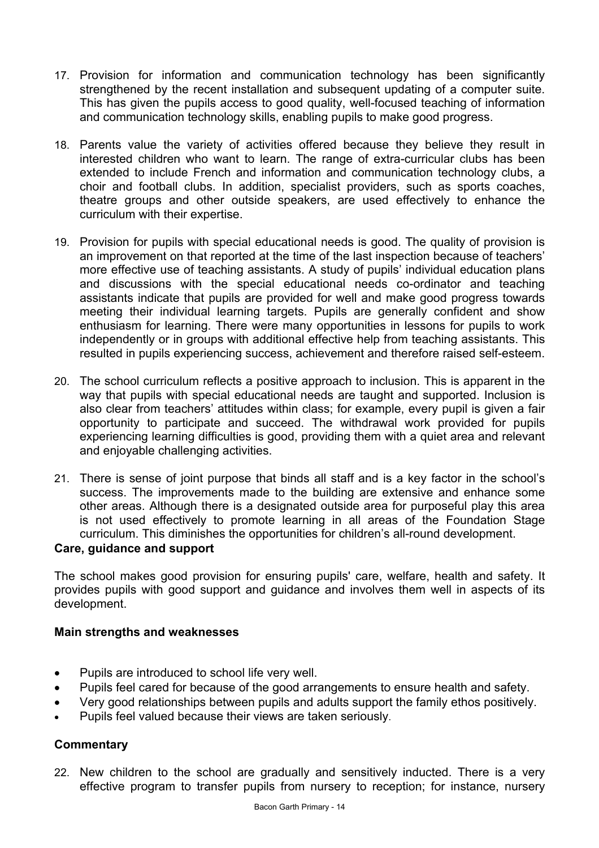- 17. Provision for information and communication technology has been significantly strengthened by the recent installation and subsequent updating of a computer suite. This has given the pupils access to good quality, well-focused teaching of information and communication technology skills, enabling pupils to make good progress.
- 18. Parents value the variety of activities offered because they believe they result in interested children who want to learn. The range of extra-curricular clubs has been extended to include French and information and communication technology clubs, a choir and football clubs. In addition, specialist providers, such as sports coaches, theatre groups and other outside speakers, are used effectively to enhance the curriculum with their expertise.
- 19. Provision for pupils with special educational needs is good. The quality of provision is an improvement on that reported at the time of the last inspection because of teachers' more effective use of teaching assistants. A study of pupils' individual education plans and discussions with the special educational needs co-ordinator and teaching assistants indicate that pupils are provided for well and make good progress towards meeting their individual learning targets. Pupils are generally confident and show enthusiasm for learning. There were many opportunities in lessons for pupils to work independently or in groups with additional effective help from teaching assistants. This resulted in pupils experiencing success, achievement and therefore raised self-esteem.
- 20. The school curriculum reflects a positive approach to inclusion. This is apparent in the way that pupils with special educational needs are taught and supported. Inclusion is also clear from teachers' attitudes within class; for example, every pupil is given a fair opportunity to participate and succeed. The withdrawal work provided for pupils experiencing learning difficulties is good, providing them with a quiet area and relevant and enjoyable challenging activities.
- 21. There is sense of joint purpose that binds all staff and is a key factor in the school's success. The improvements made to the building are extensive and enhance some other areas. Although there is a designated outside area for purposeful play this area is not used effectively to promote learning in all areas of the Foundation Stage curriculum. This diminishes the opportunities for children's all-round development.

## **Care, guidance and support**

The school makes good provision for ensuring pupils' care, welfare, health and safety. It provides pupils with good support and guidance and involves them well in aspects of its development.

## **Main strengths and weaknesses**

- Pupils are introduced to school life very well.
- Pupils feel cared for because of the good arrangements to ensure health and safety.
- Very good relationships between pupils and adults support the family ethos positively.
- Pupils feel valued because their views are taken seriously.

## **Commentary**

22. New children to the school are gradually and sensitively inducted. There is a very effective program to transfer pupils from nursery to reception; for instance, nursery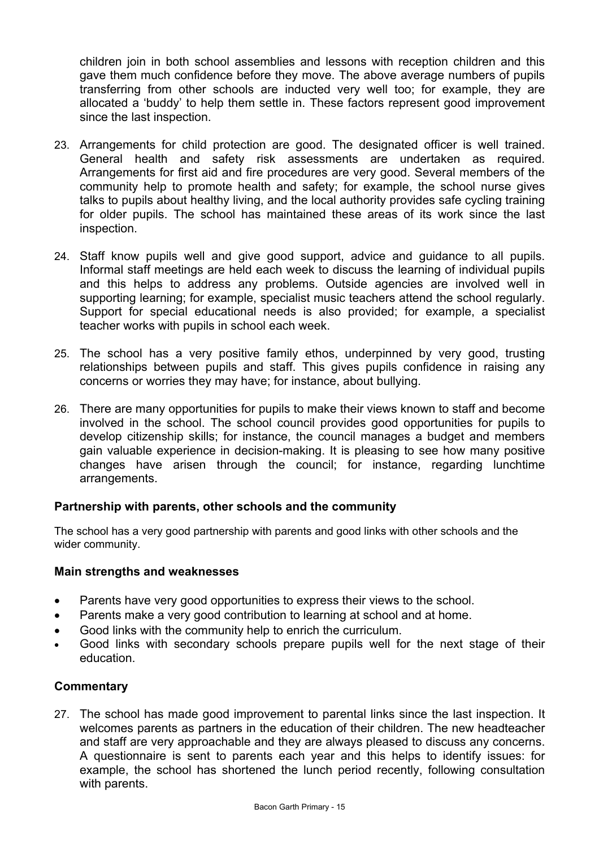children join in both school assemblies and lessons with reception children and this gave them much confidence before they move. The above average numbers of pupils transferring from other schools are inducted very well too; for example, they are allocated a 'buddy' to help them settle in. These factors represent good improvement since the last inspection.

- 23. Arrangements for child protection are good. The designated officer is well trained. General health and safety risk assessments are undertaken as required. Arrangements for first aid and fire procedures are very good. Several members of the community help to promote health and safety; for example, the school nurse gives talks to pupils about healthy living, and the local authority provides safe cycling training for older pupils. The school has maintained these areas of its work since the last inspection.
- 24. Staff know pupils well and give good support, advice and guidance to all pupils. Informal staff meetings are held each week to discuss the learning of individual pupils and this helps to address any problems. Outside agencies are involved well in supporting learning; for example, specialist music teachers attend the school regularly. Support for special educational needs is also provided; for example, a specialist teacher works with pupils in school each week.
- 25. The school has a very positive family ethos, underpinned by very good, trusting relationships between pupils and staff. This gives pupils confidence in raising any concerns or worries they may have; for instance, about bullying.
- 26. There are many opportunities for pupils to make their views known to staff and become involved in the school. The school council provides good opportunities for pupils to develop citizenship skills; for instance, the council manages a budget and members gain valuable experience in decision-making. It is pleasing to see how many positive changes have arisen through the council; for instance, regarding lunchtime arrangements.

## **Partnership with parents, other schools and the community**

The school has a very good partnership with parents and good links with other schools and the wider community.

## **Main strengths and weaknesses**

- Parents have very good opportunities to express their views to the school.
- Parents make a very good contribution to learning at school and at home.
- Good links with the community help to enrich the curriculum.
- Good links with secondary schools prepare pupils well for the next stage of their education.

## **Commentary**

27. The school has made good improvement to parental links since the last inspection. It welcomes parents as partners in the education of their children. The new headteacher and staff are very approachable and they are always pleased to discuss any concerns. A questionnaire is sent to parents each year and this helps to identify issues: for example, the school has shortened the lunch period recently, following consultation with parents.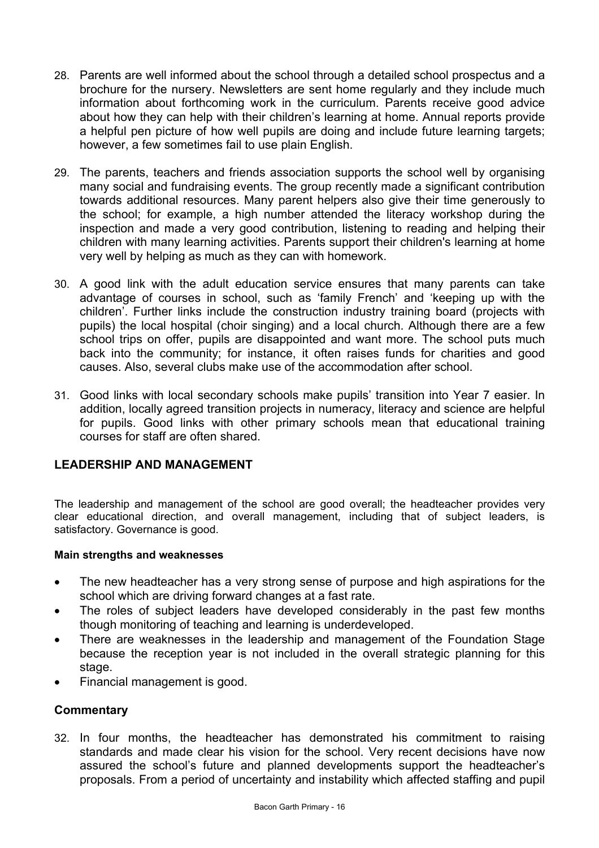- 28. Parents are well informed about the school through a detailed school prospectus and a brochure for the nursery. Newsletters are sent home regularly and they include much information about forthcoming work in the curriculum. Parents receive good advice about how they can help with their children's learning at home. Annual reports provide a helpful pen picture of how well pupils are doing and include future learning targets; however, a few sometimes fail to use plain English.
- 29. The parents, teachers and friends association supports the school well by organising many social and fundraising events. The group recently made a significant contribution towards additional resources. Many parent helpers also give their time generously to the school; for example, a high number attended the literacy workshop during the inspection and made a very good contribution, listening to reading and helping their children with many learning activities. Parents support their children's learning at home very well by helping as much as they can with homework.
- 30. A good link with the adult education service ensures that many parents can take advantage of courses in school, such as 'family French' and 'keeping up with the children'. Further links include the construction industry training board (projects with pupils) the local hospital (choir singing) and a local church. Although there are a few school trips on offer, pupils are disappointed and want more. The school puts much back into the community; for instance, it often raises funds for charities and good causes. Also, several clubs make use of the accommodation after school.
- 31. Good links with local secondary schools make pupils' transition into Year 7 easier. In addition, locally agreed transition projects in numeracy, literacy and science are helpful for pupils. Good links with other primary schools mean that educational training courses for staff are often shared.

## **LEADERSHIP AND MANAGEMENT**

The leadership and management of the school are good overall; the headteacher provides very clear educational direction, and overall management, including that of subject leaders, is satisfactory. Governance is good.

## **Main strengths and weaknesses**

- The new headteacher has a very strong sense of purpose and high aspirations for the school which are driving forward changes at a fast rate.
- The roles of subject leaders have developed considerably in the past few months though monitoring of teaching and learning is underdeveloped.
- There are weaknesses in the leadership and management of the Foundation Stage because the reception year is not included in the overall strategic planning for this stage.
- Financial management is good.

## **Commentary**

32. In four months, the headteacher has demonstrated his commitment to raising standards and made clear his vision for the school. Very recent decisions have now assured the school's future and planned developments support the headteacher's proposals. From a period of uncertainty and instability which affected staffing and pupil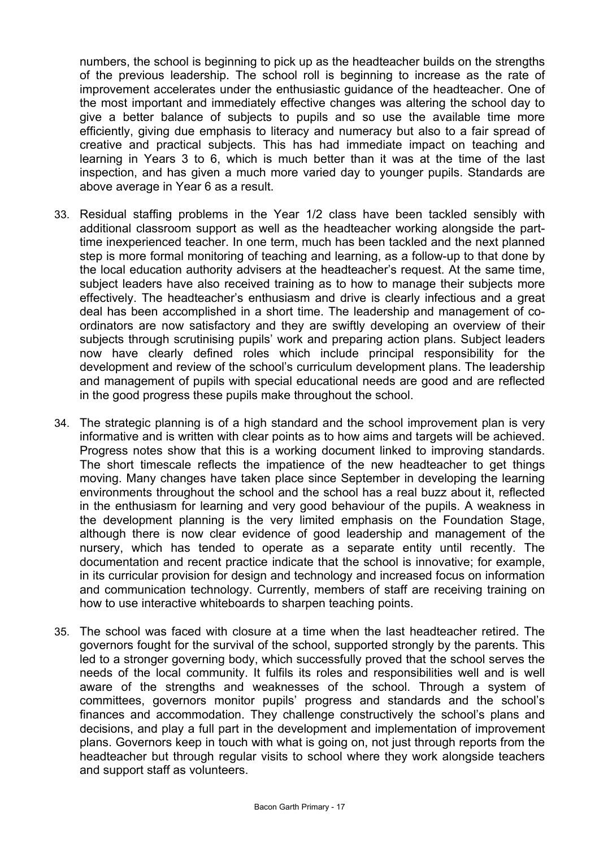numbers, the school is beginning to pick up as the headteacher builds on the strengths of the previous leadership. The school roll is beginning to increase as the rate of improvement accelerates under the enthusiastic guidance of the headteacher. One of the most important and immediately effective changes was altering the school day to give a better balance of subjects to pupils and so use the available time more efficiently, giving due emphasis to literacy and numeracy but also to a fair spread of creative and practical subjects. This has had immediate impact on teaching and learning in Years 3 to 6, which is much better than it was at the time of the last inspection, and has given a much more varied day to younger pupils. Standards are above average in Year 6 as a result.

- 33. Residual staffing problems in the Year 1/2 class have been tackled sensibly with additional classroom support as well as the headteacher working alongside the parttime inexperienced teacher. In one term, much has been tackled and the next planned step is more formal monitoring of teaching and learning, as a follow-up to that done by the local education authority advisers at the headteacher's request. At the same time, subject leaders have also received training as to how to manage their subjects more effectively. The headteacher's enthusiasm and drive is clearly infectious and a great deal has been accomplished in a short time. The leadership and management of coordinators are now satisfactory and they are swiftly developing an overview of their subjects through scrutinising pupils' work and preparing action plans. Subject leaders now have clearly defined roles which include principal responsibility for the development and review of the school's curriculum development plans. The leadership and management of pupils with special educational needs are good and are reflected in the good progress these pupils make throughout the school.
- 34. The strategic planning is of a high standard and the school improvement plan is very informative and is written with clear points as to how aims and targets will be achieved. Progress notes show that this is a working document linked to improving standards. The short timescale reflects the impatience of the new headteacher to get things moving. Many changes have taken place since September in developing the learning environments throughout the school and the school has a real buzz about it, reflected in the enthusiasm for learning and very good behaviour of the pupils. A weakness in the development planning is the very limited emphasis on the Foundation Stage, although there is now clear evidence of good leadership and management of the nursery, which has tended to operate as a separate entity until recently. The documentation and recent practice indicate that the school is innovative; for example, in its curricular provision for design and technology and increased focus on information and communication technology. Currently, members of staff are receiving training on how to use interactive whiteboards to sharpen teaching points.
- 35. The school was faced with closure at a time when the last headteacher retired. The governors fought for the survival of the school, supported strongly by the parents. This led to a stronger governing body, which successfully proved that the school serves the needs of the local community. It fulfils its roles and responsibilities well and is well aware of the strengths and weaknesses of the school. Through a system of committees, governors monitor pupils' progress and standards and the school's finances and accommodation. They challenge constructively the school's plans and decisions, and play a full part in the development and implementation of improvement plans. Governors keep in touch with what is going on, not just through reports from the headteacher but through regular visits to school where they work alongside teachers and support staff as volunteers.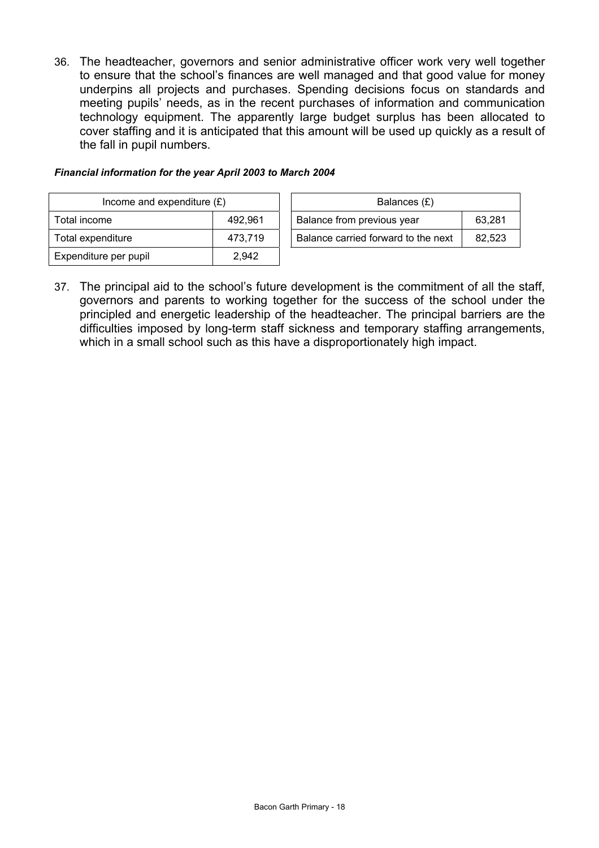36. The headteacher, governors and senior administrative officer work very well together to ensure that the school's finances are well managed and that good value for money underpins all projects and purchases. Spending decisions focus on standards and meeting pupils' needs, as in the recent purchases of information and communication technology equipment. The apparently large budget surplus has been allocated to cover staffing and it is anticipated that this amount will be used up quickly as a result of the fall in pupil numbers.

#### *Financial information for the year April 2003 to March 2004*

| Income and expenditure $(E)$ |         | Balances (£)                        |        |  |
|------------------------------|---------|-------------------------------------|--------|--|
| Total income                 | 492.961 | Balance from previous year          | 63,281 |  |
| Total expenditure            | 473.719 | Balance carried forward to the next | 82,523 |  |
| Expenditure per pupil        | 2.942   |                                     |        |  |

37. The principal aid to the school's future development is the commitment of all the staff, governors and parents to working together for the success of the school under the principled and energetic leadership of the headteacher. The principal barriers are the difficulties imposed by long-term staff sickness and temporary staffing arrangements, which in a small school such as this have a disproportionately high impact.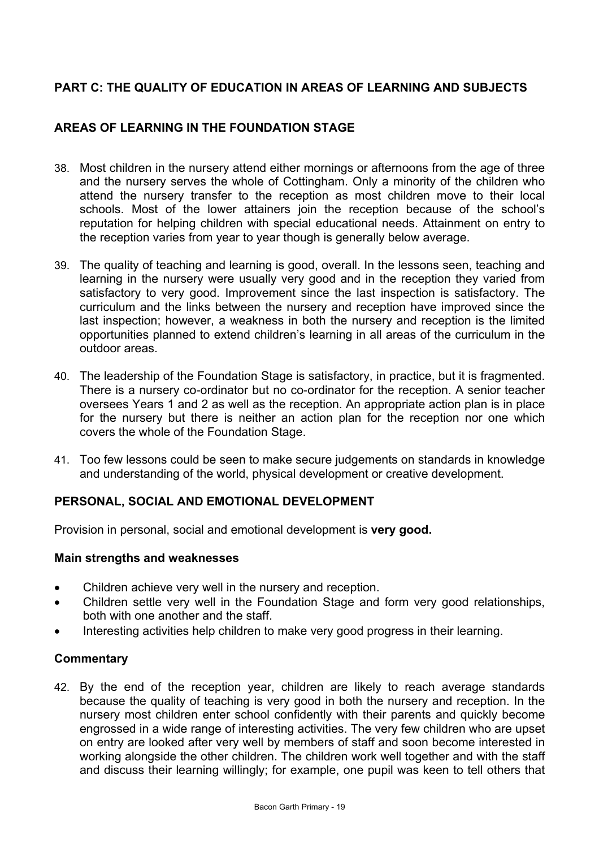# **PART C: THE QUALITY OF EDUCATION IN AREAS OF LEARNING AND SUBJECTS**

# **AREAS OF LEARNING IN THE FOUNDATION STAGE**

- 38. Most children in the nursery attend either mornings or afternoons from the age of three and the nursery serves the whole of Cottingham. Only a minority of the children who attend the nursery transfer to the reception as most children move to their local schools. Most of the lower attainers join the reception because of the school's reputation for helping children with special educational needs. Attainment on entry to the reception varies from year to year though is generally below average.
- 39. The quality of teaching and learning is good, overall. In the lessons seen, teaching and learning in the nursery were usually very good and in the reception they varied from satisfactory to very good. Improvement since the last inspection is satisfactory. The curriculum and the links between the nursery and reception have improved since the last inspection; however, a weakness in both the nursery and reception is the limited opportunities planned to extend children's learning in all areas of the curriculum in the outdoor areas.
- 40. The leadership of the Foundation Stage is satisfactory, in practice, but it is fragmented. There is a nursery co-ordinator but no co-ordinator for the reception. A senior teacher oversees Years 1 and 2 as well as the reception. An appropriate action plan is in place for the nursery but there is neither an action plan for the reception nor one which covers the whole of the Foundation Stage.
- 41. Too few lessons could be seen to make secure judgements on standards in knowledge and understanding of the world, physical development or creative development.

## **PERSONAL, SOCIAL AND EMOTIONAL DEVELOPMENT**

Provision in personal, social and emotional development is **very good.** 

## **Main strengths and weaknesses**

- Children achieve very well in the nursery and reception.
- Children settle very well in the Foundation Stage and form very good relationships, both with one another and the staff.
- Interesting activities help children to make very good progress in their learning.

## **Commentary**

42. By the end of the reception year, children are likely to reach average standards because the quality of teaching is very good in both the nursery and reception. In the nursery most children enter school confidently with their parents and quickly become engrossed in a wide range of interesting activities. The very few children who are upset on entry are looked after very well by members of staff and soon become interested in working alongside the other children. The children work well together and with the staff and discuss their learning willingly; for example, one pupil was keen to tell others that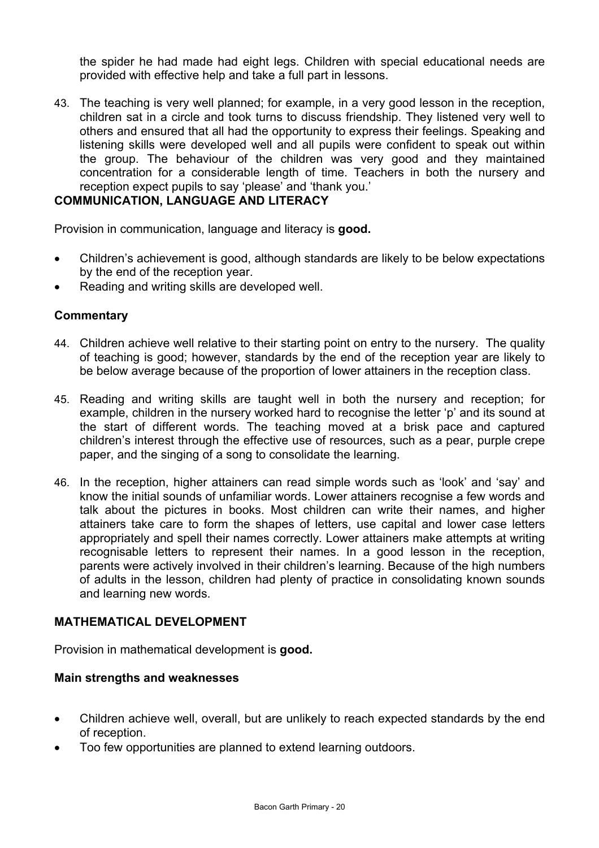the spider he had made had eight legs. Children with special educational needs are provided with effective help and take a full part in lessons.

43. The teaching is very well planned; for example, in a very good lesson in the reception, children sat in a circle and took turns to discuss friendship. They listened very well to others and ensured that all had the opportunity to express their feelings. Speaking and listening skills were developed well and all pupils were confident to speak out within the group. The behaviour of the children was very good and they maintained concentration for a considerable length of time. Teachers in both the nursery and reception expect pupils to say 'please' and 'thank you.'

## **COMMUNICATION, LANGUAGE AND LITERACY**

Provision in communication, language and literacy is **good.**

- Children's achievement is good, although standards are likely to be below expectations by the end of the reception year.
- Reading and writing skills are developed well.

#### **Commentary**

- 44. Children achieve well relative to their starting point on entry to the nursery. The quality of teaching is good; however, standards by the end of the reception year are likely to be below average because of the proportion of lower attainers in the reception class.
- 45. Reading and writing skills are taught well in both the nursery and reception; for example, children in the nursery worked hard to recognise the letter 'p' and its sound at the start of different words. The teaching moved at a brisk pace and captured children's interest through the effective use of resources, such as a pear, purple crepe paper, and the singing of a song to consolidate the learning.
- 46. In the reception, higher attainers can read simple words such as 'look' and 'say' and know the initial sounds of unfamiliar words. Lower attainers recognise a few words and talk about the pictures in books. Most children can write their names, and higher attainers take care to form the shapes of letters, use capital and lower case letters appropriately and spell their names correctly. Lower attainers make attempts at writing recognisable letters to represent their names. In a good lesson in the reception, parents were actively involved in their children's learning. Because of the high numbers of adults in the lesson, children had plenty of practice in consolidating known sounds and learning new words.

#### **MATHEMATICAL DEVELOPMENT**

Provision in mathematical development is **good.** 

#### **Main strengths and weaknesses**

- Children achieve well, overall, but are unlikely to reach expected standards by the end of reception.
- Too few opportunities are planned to extend learning outdoors.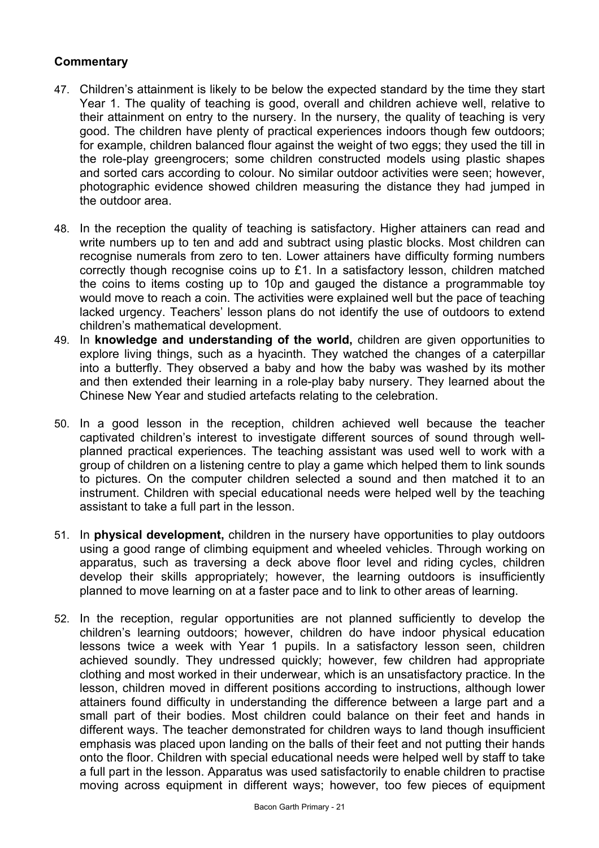## **Commentary**

- 47. Children's attainment is likely to be below the expected standard by the time they start Year 1. The quality of teaching is good, overall and children achieve well, relative to their attainment on entry to the nursery. In the nursery, the quality of teaching is very good. The children have plenty of practical experiences indoors though few outdoors; for example, children balanced flour against the weight of two eggs; they used the till in the role-play greengrocers; some children constructed models using plastic shapes and sorted cars according to colour. No similar outdoor activities were seen; however, photographic evidence showed children measuring the distance they had jumped in the outdoor area.
- 48. In the reception the quality of teaching is satisfactory. Higher attainers can read and write numbers up to ten and add and subtract using plastic blocks. Most children can recognise numerals from zero to ten. Lower attainers have difficulty forming numbers correctly though recognise coins up to £1. In a satisfactory lesson, children matched the coins to items costing up to 10p and gauged the distance a programmable toy would move to reach a coin. The activities were explained well but the pace of teaching lacked urgency. Teachers' lesson plans do not identify the use of outdoors to extend children's mathematical development.
- 49. In **knowledge and understanding of the world,** children are given opportunities to explore living things, such as a hyacinth. They watched the changes of a caterpillar into a butterfly. They observed a baby and how the baby was washed by its mother and then extended their learning in a role-play baby nursery. They learned about the Chinese New Year and studied artefacts relating to the celebration.
- 50. In a good lesson in the reception, children achieved well because the teacher captivated children's interest to investigate different sources of sound through wellplanned practical experiences. The teaching assistant was used well to work with a group of children on a listening centre to play a game which helped them to link sounds to pictures. On the computer children selected a sound and then matched it to an instrument. Children with special educational needs were helped well by the teaching assistant to take a full part in the lesson.
- 51. In **physical development,** children in the nursery have opportunities to play outdoors using a good range of climbing equipment and wheeled vehicles. Through working on apparatus, such as traversing a deck above floor level and riding cycles, children develop their skills appropriately; however, the learning outdoors is insufficiently planned to move learning on at a faster pace and to link to other areas of learning.
- 52. In the reception, regular opportunities are not planned sufficiently to develop the children's learning outdoors; however, children do have indoor physical education lessons twice a week with Year 1 pupils. In a satisfactory lesson seen, children achieved soundly. They undressed quickly; however, few children had appropriate clothing and most worked in their underwear, which is an unsatisfactory practice. In the lesson, children moved in different positions according to instructions, although lower attainers found difficulty in understanding the difference between a large part and a small part of their bodies. Most children could balance on their feet and hands in different ways. The teacher demonstrated for children ways to land though insufficient emphasis was placed upon landing on the balls of their feet and not putting their hands onto the floor. Children with special educational needs were helped well by staff to take a full part in the lesson. Apparatus was used satisfactorily to enable children to practise moving across equipment in different ways; however, too few pieces of equipment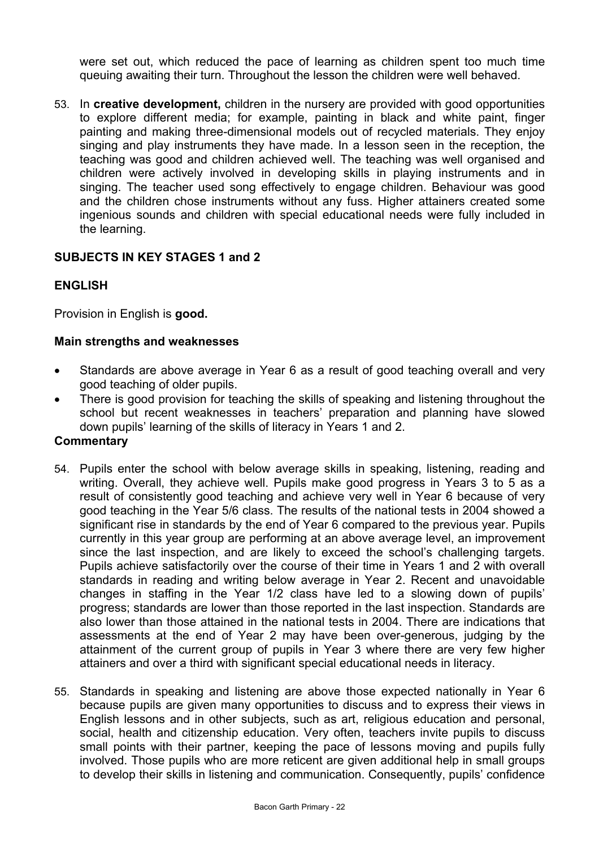were set out, which reduced the pace of learning as children spent too much time queuing awaiting their turn. Throughout the lesson the children were well behaved.

53. In **creative development,** children in the nursery are provided with good opportunities to explore different media; for example, painting in black and white paint, finger painting and making three-dimensional models out of recycled materials. They enjoy singing and play instruments they have made. In a lesson seen in the reception, the teaching was good and children achieved well. The teaching was well organised and children were actively involved in developing skills in playing instruments and in singing. The teacher used song effectively to engage children. Behaviour was good and the children chose instruments without any fuss. Higher attainers created some ingenious sounds and children with special educational needs were fully included in the learning.

## **SUBJECTS IN KEY STAGES 1 and 2**

## **ENGLISH**

Provision in English is **good.** 

#### **Main strengths and weaknesses**

- Standards are above average in Year 6 as a result of good teaching overall and very good teaching of older pupils.
- There is good provision for teaching the skills of speaking and listening throughout the school but recent weaknesses in teachers' preparation and planning have slowed down pupils' learning of the skills of literacy in Years 1 and 2.

#### **Commentary**

- 54. Pupils enter the school with below average skills in speaking, listening, reading and writing. Overall, they achieve well. Pupils make good progress in Years 3 to 5 as a result of consistently good teaching and achieve very well in Year 6 because of very good teaching in the Year 5/6 class. The results of the national tests in 2004 showed a significant rise in standards by the end of Year 6 compared to the previous year. Pupils currently in this year group are performing at an above average level, an improvement since the last inspection, and are likely to exceed the school's challenging targets. Pupils achieve satisfactorily over the course of their time in Years 1 and 2 with overall standards in reading and writing below average in Year 2. Recent and unavoidable changes in staffing in the Year 1/2 class have led to a slowing down of pupils' progress; standards are lower than those reported in the last inspection. Standards are also lower than those attained in the national tests in 2004. There are indications that assessments at the end of Year 2 may have been over-generous, judging by the attainment of the current group of pupils in Year 3 where there are very few higher attainers and over a third with significant special educational needs in literacy.
- 55. Standards in speaking and listening are above those expected nationally in Year 6 because pupils are given many opportunities to discuss and to express their views in English lessons and in other subjects, such as art, religious education and personal, social, health and citizenship education. Very often, teachers invite pupils to discuss small points with their partner, keeping the pace of lessons moving and pupils fully involved. Those pupils who are more reticent are given additional help in small groups to develop their skills in listening and communication. Consequently, pupils' confidence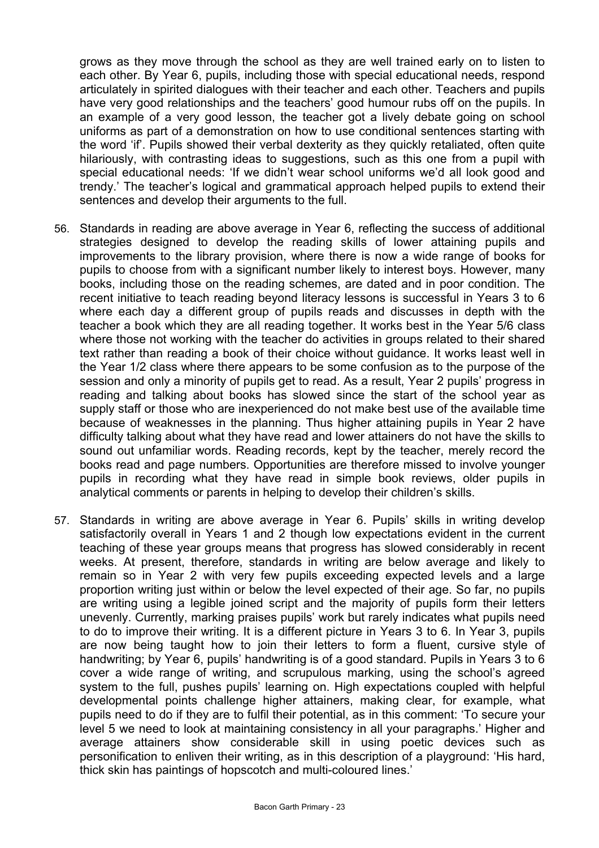grows as they move through the school as they are well trained early on to listen to each other. By Year 6, pupils, including those with special educational needs, respond articulately in spirited dialogues with their teacher and each other. Teachers and pupils have very good relationships and the teachers' good humour rubs off on the pupils. In an example of a very good lesson, the teacher got a lively debate going on school uniforms as part of a demonstration on how to use conditional sentences starting with the word 'if'. Pupils showed their verbal dexterity as they quickly retaliated, often quite hilariously, with contrasting ideas to suggestions, such as this one from a pupil with special educational needs: 'If we didn't wear school uniforms we'd all look good and trendy.' The teacher's logical and grammatical approach helped pupils to extend their sentences and develop their arguments to the full.

- 56. Standards in reading are above average in Year 6, reflecting the success of additional strategies designed to develop the reading skills of lower attaining pupils and improvements to the library provision, where there is now a wide range of books for pupils to choose from with a significant number likely to interest boys. However, many books, including those on the reading schemes, are dated and in poor condition. The recent initiative to teach reading beyond literacy lessons is successful in Years 3 to 6 where each day a different group of pupils reads and discusses in depth with the teacher a book which they are all reading together. It works best in the Year 5/6 class where those not working with the teacher do activities in groups related to their shared text rather than reading a book of their choice without guidance. It works least well in the Year 1/2 class where there appears to be some confusion as to the purpose of the session and only a minority of pupils get to read. As a result, Year 2 pupils' progress in reading and talking about books has slowed since the start of the school year as supply staff or those who are inexperienced do not make best use of the available time because of weaknesses in the planning. Thus higher attaining pupils in Year 2 have difficulty talking about what they have read and lower attainers do not have the skills to sound out unfamiliar words. Reading records, kept by the teacher, merely record the books read and page numbers. Opportunities are therefore missed to involve younger pupils in recording what they have read in simple book reviews, older pupils in analytical comments or parents in helping to develop their children's skills.
- 57. Standards in writing are above average in Year 6. Pupils' skills in writing develop satisfactorily overall in Years 1 and 2 though low expectations evident in the current teaching of these year groups means that progress has slowed considerably in recent weeks. At present, therefore, standards in writing are below average and likely to remain so in Year 2 with very few pupils exceeding expected levels and a large proportion writing just within or below the level expected of their age. So far, no pupils are writing using a legible joined script and the majority of pupils form their letters unevenly. Currently, marking praises pupils' work but rarely indicates what pupils need to do to improve their writing. It is a different picture in Years 3 to 6. In Year 3, pupils are now being taught how to join their letters to form a fluent, cursive style of handwriting; by Year 6, pupils' handwriting is of a good standard. Pupils in Years 3 to 6 cover a wide range of writing, and scrupulous marking, using the school's agreed system to the full, pushes pupils' learning on. High expectations coupled with helpful developmental points challenge higher attainers, making clear, for example, what pupils need to do if they are to fulfil their potential, as in this comment: 'To secure your level 5 we need to look at maintaining consistency in all your paragraphs.' Higher and average attainers show considerable skill in using poetic devices such as personification to enliven their writing, as in this description of a playground: 'His hard, thick skin has paintings of hopscotch and multi-coloured lines.'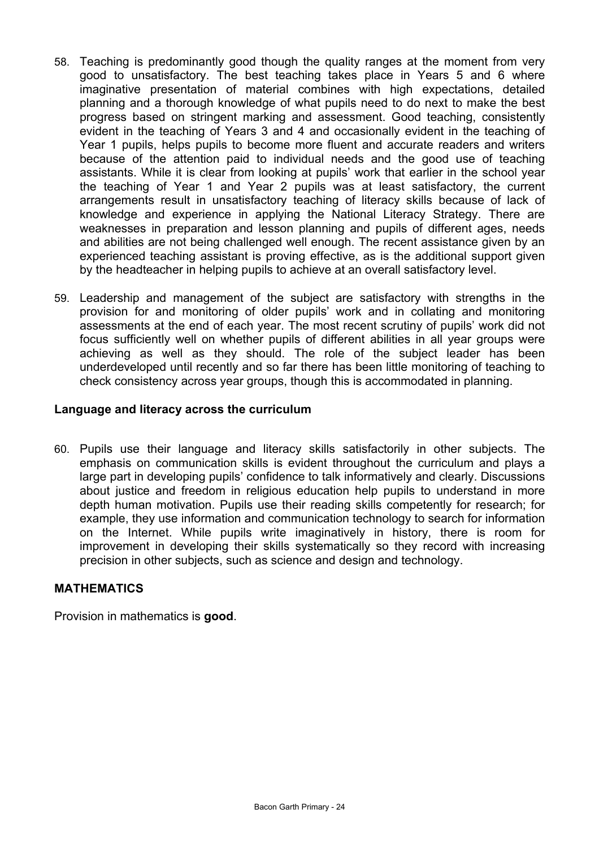- 58. Teaching is predominantly good though the quality ranges at the moment from very good to unsatisfactory. The best teaching takes place in Years 5 and 6 where imaginative presentation of material combines with high expectations, detailed planning and a thorough knowledge of what pupils need to do next to make the best progress based on stringent marking and assessment. Good teaching, consistently evident in the teaching of Years 3 and 4 and occasionally evident in the teaching of Year 1 pupils, helps pupils to become more fluent and accurate readers and writers because of the attention paid to individual needs and the good use of teaching assistants. While it is clear from looking at pupils' work that earlier in the school year the teaching of Year 1 and Year 2 pupils was at least satisfactory, the current arrangements result in unsatisfactory teaching of literacy skills because of lack of knowledge and experience in applying the National Literacy Strategy. There are weaknesses in preparation and lesson planning and pupils of different ages, needs and abilities are not being challenged well enough. The recent assistance given by an experienced teaching assistant is proving effective, as is the additional support given by the headteacher in helping pupils to achieve at an overall satisfactory level.
- 59. Leadership and management of the subject are satisfactory with strengths in the provision for and monitoring of older pupils' work and in collating and monitoring assessments at the end of each year. The most recent scrutiny of pupils' work did not focus sufficiently well on whether pupils of different abilities in all year groups were achieving as well as they should. The role of the subject leader has been underdeveloped until recently and so far there has been little monitoring of teaching to check consistency across year groups, though this is accommodated in planning.

## **Language and literacy across the curriculum**

60. Pupils use their language and literacy skills satisfactorily in other subjects. The emphasis on communication skills is evident throughout the curriculum and plays a large part in developing pupils' confidence to talk informatively and clearly. Discussions about justice and freedom in religious education help pupils to understand in more depth human motivation. Pupils use their reading skills competently for research; for example, they use information and communication technology to search for information on the Internet. While pupils write imaginatively in history, there is room for improvement in developing their skills systematically so they record with increasing precision in other subjects, such as science and design and technology.

## **MATHEMATICS**

Provision in mathematics is **good**.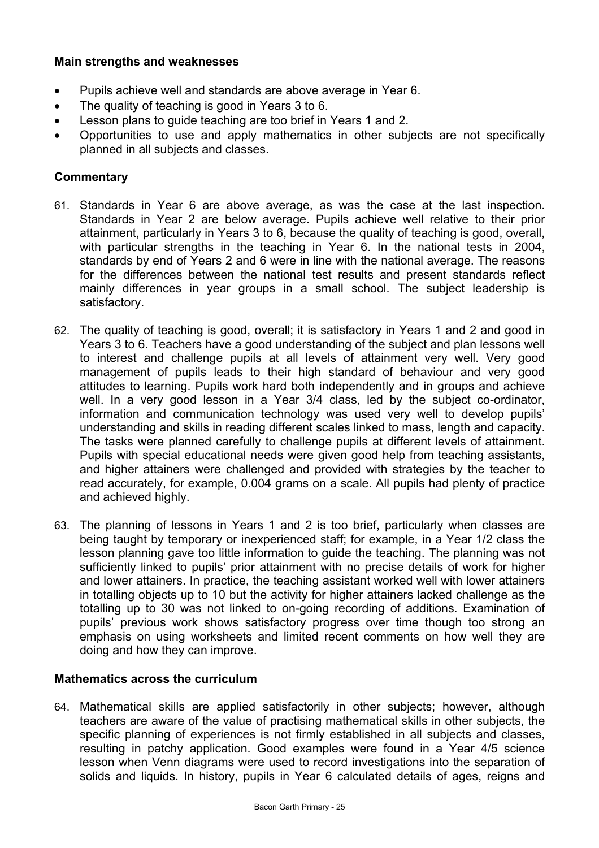## **Main strengths and weaknesses**

- Pupils achieve well and standards are above average in Year 6.
- The quality of teaching is good in Years 3 to 6.
- Lesson plans to guide teaching are too brief in Years 1 and 2.
- Opportunities to use and apply mathematics in other subjects are not specifically planned in all subjects and classes.

## **Commentary**

- 61. Standards in Year 6 are above average, as was the case at the last inspection. Standards in Year 2 are below average. Pupils achieve well relative to their prior attainment, particularly in Years 3 to 6, because the quality of teaching is good, overall, with particular strengths in the teaching in Year 6. In the national tests in 2004, standards by end of Years 2 and 6 were in line with the national average. The reasons for the differences between the national test results and present standards reflect mainly differences in year groups in a small school. The subject leadership is satisfactory.
- 62. The quality of teaching is good, overall; it is satisfactory in Years 1 and 2 and good in Years 3 to 6. Teachers have a good understanding of the subject and plan lessons well to interest and challenge pupils at all levels of attainment very well. Very good management of pupils leads to their high standard of behaviour and very good attitudes to learning. Pupils work hard both independently and in groups and achieve well. In a very good lesson in a Year 3/4 class, led by the subject co-ordinator, information and communication technology was used very well to develop pupils' understanding and skills in reading different scales linked to mass, length and capacity. The tasks were planned carefully to challenge pupils at different levels of attainment. Pupils with special educational needs were given good help from teaching assistants, and higher attainers were challenged and provided with strategies by the teacher to read accurately, for example, 0.004 grams on a scale. All pupils had plenty of practice and achieved highly.
- 63. The planning of lessons in Years 1 and 2 is too brief, particularly when classes are being taught by temporary or inexperienced staff; for example, in a Year 1/2 class the lesson planning gave too little information to guide the teaching. The planning was not sufficiently linked to pupils' prior attainment with no precise details of work for higher and lower attainers. In practice, the teaching assistant worked well with lower attainers in totalling objects up to 10 but the activity for higher attainers lacked challenge as the totalling up to 30 was not linked to on-going recording of additions. Examination of pupils' previous work shows satisfactory progress over time though too strong an emphasis on using worksheets and limited recent comments on how well they are doing and how they can improve.

#### **Mathematics across the curriculum**

64. Mathematical skills are applied satisfactorily in other subjects; however, although teachers are aware of the value of practising mathematical skills in other subjects, the specific planning of experiences is not firmly established in all subjects and classes, resulting in patchy application. Good examples were found in a Year 4/5 science lesson when Venn diagrams were used to record investigations into the separation of solids and liquids. In history, pupils in Year 6 calculated details of ages, reigns and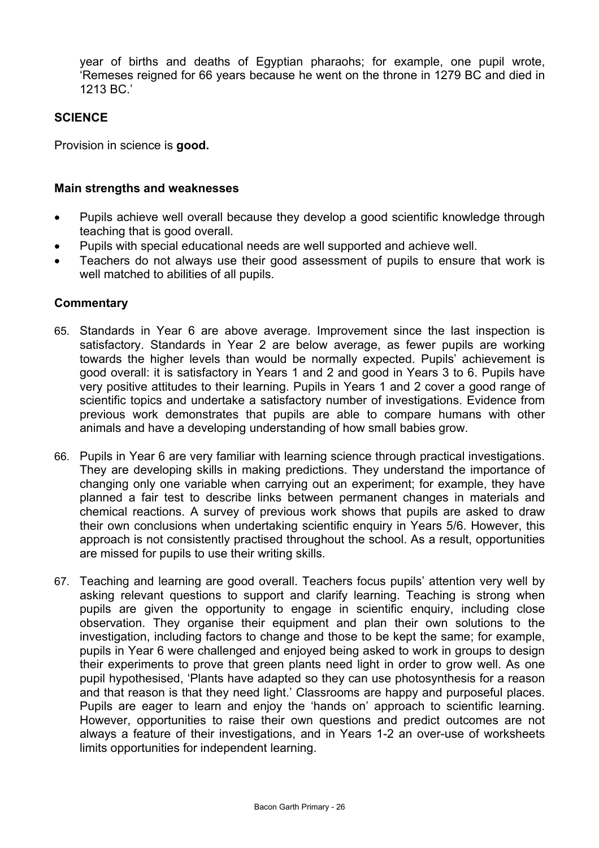year of births and deaths of Egyptian pharaohs; for example, one pupil wrote, 'Remeses reigned for 66 years because he went on the throne in 1279 BC and died in 1213 BC.'

## **SCIENCE**

Provision in science is **good.** 

#### **Main strengths and weaknesses**

- Pupils achieve well overall because they develop a good scientific knowledge through teaching that is good overall.
- Pupils with special educational needs are well supported and achieve well.
- Teachers do not always use their good assessment of pupils to ensure that work is well matched to abilities of all pupils.

#### **Commentary**

- 65. Standards in Year 6 are above average. Improvement since the last inspection is satisfactory. Standards in Year 2 are below average, as fewer pupils are working towards the higher levels than would be normally expected. Pupils' achievement is good overall: it is satisfactory in Years 1 and 2 and good in Years 3 to 6. Pupils have very positive attitudes to their learning. Pupils in Years 1 and 2 cover a good range of scientific topics and undertake a satisfactory number of investigations. Evidence from previous work demonstrates that pupils are able to compare humans with other animals and have a developing understanding of how small babies grow.
- 66. Pupils in Year 6 are very familiar with learning science through practical investigations. They are developing skills in making predictions. They understand the importance of changing only one variable when carrying out an experiment; for example, they have planned a fair test to describe links between permanent changes in materials and chemical reactions. A survey of previous work shows that pupils are asked to draw their own conclusions when undertaking scientific enquiry in Years 5/6. However, this approach is not consistently practised throughout the school. As a result, opportunities are missed for pupils to use their writing skills.
- 67. Teaching and learning are good overall. Teachers focus pupils' attention very well by asking relevant questions to support and clarify learning. Teaching is strong when pupils are given the opportunity to engage in scientific enquiry, including close observation. They organise their equipment and plan their own solutions to the investigation, including factors to change and those to be kept the same; for example, pupils in Year 6 were challenged and enjoyed being asked to work in groups to design their experiments to prove that green plants need light in order to grow well. As one pupil hypothesised, 'Plants have adapted so they can use photosynthesis for a reason and that reason is that they need light.' Classrooms are happy and purposeful places. Pupils are eager to learn and enjoy the 'hands on' approach to scientific learning. However, opportunities to raise their own questions and predict outcomes are not always a feature of their investigations, and in Years 1-2 an over-use of worksheets limits opportunities for independent learning.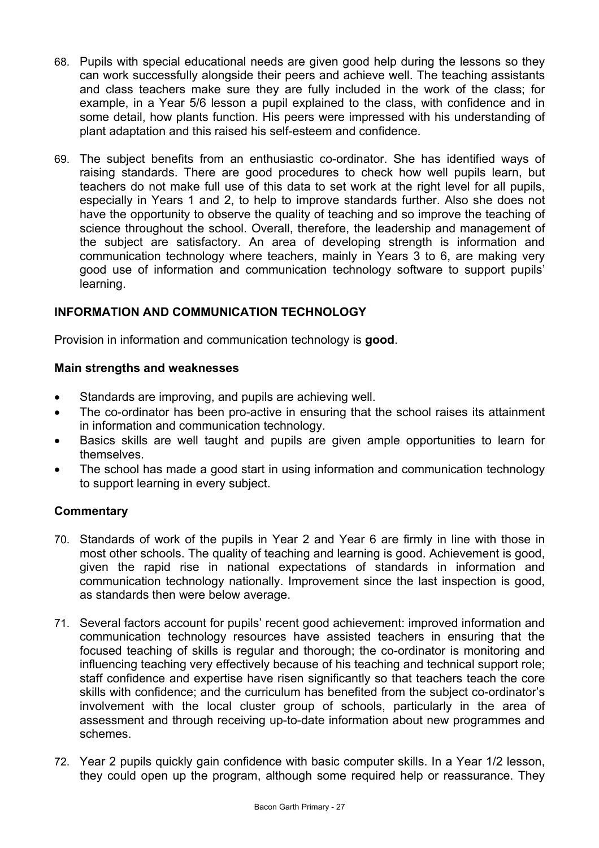- 68. Pupils with special educational needs are given good help during the lessons so they can work successfully alongside their peers and achieve well. The teaching assistants and class teachers make sure they are fully included in the work of the class; for example, in a Year 5/6 lesson a pupil explained to the class, with confidence and in some detail, how plants function. His peers were impressed with his understanding of plant adaptation and this raised his self-esteem and confidence.
- 69. The subject benefits from an enthusiastic co-ordinator. She has identified ways of raising standards. There are good procedures to check how well pupils learn, but teachers do not make full use of this data to set work at the right level for all pupils, especially in Years 1 and 2, to help to improve standards further. Also she does not have the opportunity to observe the quality of teaching and so improve the teaching of science throughout the school. Overall, therefore, the leadership and management of the subject are satisfactory. An area of developing strength is information and communication technology where teachers, mainly in Years 3 to 6, are making very good use of information and communication technology software to support pupils' learning.

## **INFORMATION AND COMMUNICATION TECHNOLOGY**

Provision in information and communication technology is **good**.

#### **Main strengths and weaknesses**

- Standards are improving, and pupils are achieving well.
- The co-ordinator has been pro-active in ensuring that the school raises its attainment in information and communication technology.
- Basics skills are well taught and pupils are given ample opportunities to learn for themselves.
- The school has made a good start in using information and communication technology to support learning in every subject.

## **Commentary**

- 70. Standards of work of the pupils in Year 2 and Year 6 are firmly in line with those in most other schools. The quality of teaching and learning is good. Achievement is good, given the rapid rise in national expectations of standards in information and communication technology nationally. Improvement since the last inspection is good, as standards then were below average.
- 71. Several factors account for pupils' recent good achievement: improved information and communication technology resources have assisted teachers in ensuring that the focused teaching of skills is regular and thorough; the co-ordinator is monitoring and influencing teaching very effectively because of his teaching and technical support role; staff confidence and expertise have risen significantly so that teachers teach the core skills with confidence; and the curriculum has benefited from the subject co-ordinator's involvement with the local cluster group of schools, particularly in the area of assessment and through receiving up-to-date information about new programmes and schemes.
- 72. Year 2 pupils quickly gain confidence with basic computer skills. In a Year 1/2 lesson, they could open up the program, although some required help or reassurance. They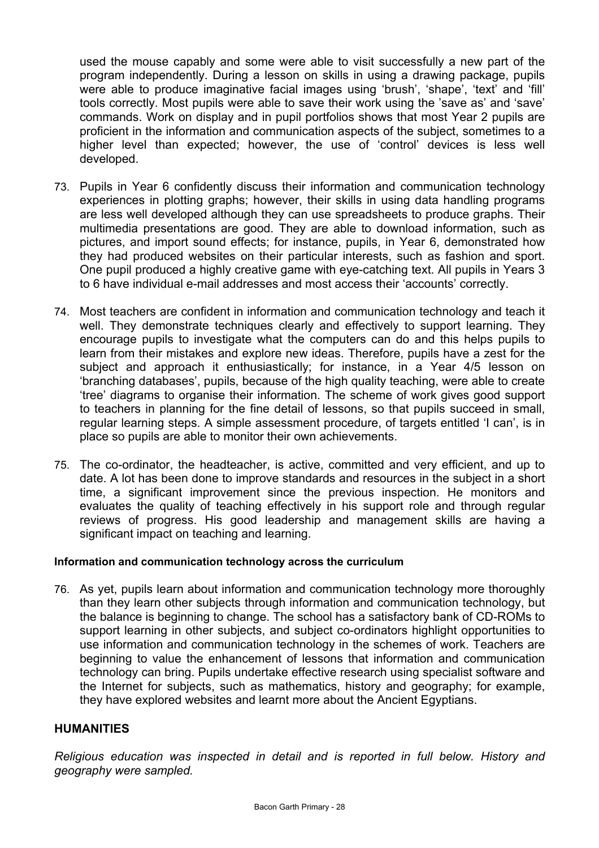used the mouse capably and some were able to visit successfully a new part of the program independently. During a lesson on skills in using a drawing package, pupils were able to produce imaginative facial images using 'brush', 'shape', 'text' and 'fill' tools correctly. Most pupils were able to save their work using the 'save as' and 'save' commands. Work on display and in pupil portfolios shows that most Year 2 pupils are proficient in the information and communication aspects of the subject, sometimes to a higher level than expected; however, the use of 'control' devices is less well developed.

- 73. Pupils in Year 6 confidently discuss their information and communication technology experiences in plotting graphs; however, their skills in using data handling programs are less well developed although they can use spreadsheets to produce graphs. Their multimedia presentations are good. They are able to download information, such as pictures, and import sound effects; for instance, pupils, in Year 6, demonstrated how they had produced websites on their particular interests, such as fashion and sport. One pupil produced a highly creative game with eye-catching text. All pupils in Years 3 to 6 have individual e-mail addresses and most access their 'accounts' correctly.
- 74. Most teachers are confident in information and communication technology and teach it well. They demonstrate techniques clearly and effectively to support learning. They encourage pupils to investigate what the computers can do and this helps pupils to learn from their mistakes and explore new ideas. Therefore, pupils have a zest for the subject and approach it enthusiastically; for instance, in a Year 4/5 lesson on 'branching databases', pupils, because of the high quality teaching, were able to create 'tree' diagrams to organise their information. The scheme of work gives good support to teachers in planning for the fine detail of lessons, so that pupils succeed in small, regular learning steps. A simple assessment procedure, of targets entitled 'I can', is in place so pupils are able to monitor their own achievements.
- 75. The co-ordinator, the headteacher, is active, committed and very efficient, and up to date. A lot has been done to improve standards and resources in the subject in a short time, a significant improvement since the previous inspection. He monitors and evaluates the quality of teaching effectively in his support role and through regular reviews of progress. His good leadership and management skills are having a significant impact on teaching and learning.

#### **Information and communication technology across the curriculum**

76. As yet, pupils learn about information and communication technology more thoroughly than they learn other subjects through information and communication technology, but the balance is beginning to change. The school has a satisfactory bank of CD-ROMs to support learning in other subjects, and subject co-ordinators highlight opportunities to use information and communication technology in the schemes of work. Teachers are beginning to value the enhancement of lessons that information and communication technology can bring. Pupils undertake effective research using specialist software and the Internet for subjects, such as mathematics, history and geography; for example, they have explored websites and learnt more about the Ancient Egyptians.

## **HUMANITIES**

*Religious education was inspected in detail and is reported in full below. History and geography were sampled.*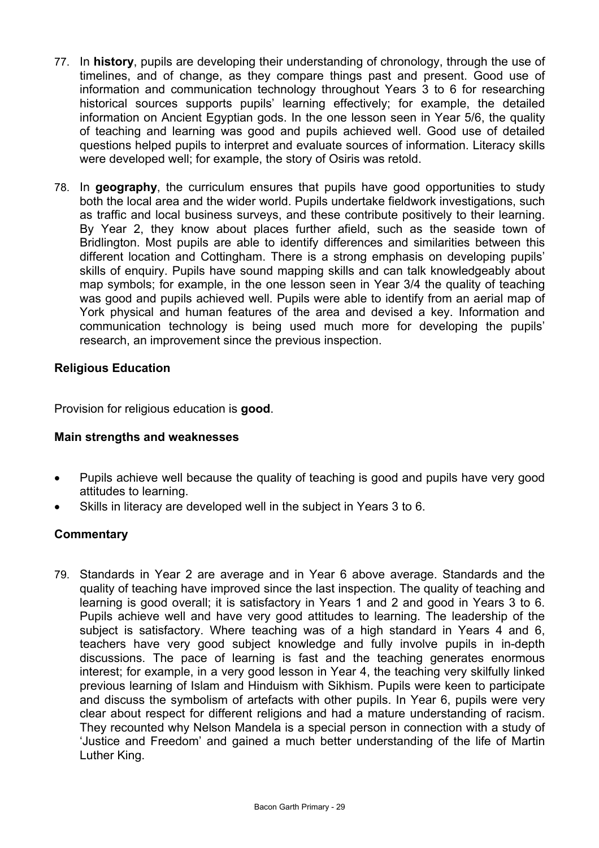- 77. In **history**, pupils are developing their understanding of chronology, through the use of timelines, and of change, as they compare things past and present. Good use of information and communication technology throughout Years 3 to 6 for researching historical sources supports pupils' learning effectively; for example, the detailed information on Ancient Egyptian gods. In the one lesson seen in Year 5/6, the quality of teaching and learning was good and pupils achieved well. Good use of detailed questions helped pupils to interpret and evaluate sources of information. Literacy skills were developed well; for example, the story of Osiris was retold.
- 78. In **geography**, the curriculum ensures that pupils have good opportunities to study both the local area and the wider world. Pupils undertake fieldwork investigations, such as traffic and local business surveys, and these contribute positively to their learning. By Year 2, they know about places further afield, such as the seaside town of Bridlington. Most pupils are able to identify differences and similarities between this different location and Cottingham. There is a strong emphasis on developing pupils' skills of enquiry. Pupils have sound mapping skills and can talk knowledgeably about map symbols; for example, in the one lesson seen in Year 3/4 the quality of teaching was good and pupils achieved well. Pupils were able to identify from an aerial map of York physical and human features of the area and devised a key. Information and communication technology is being used much more for developing the pupils' research, an improvement since the previous inspection.

## **Religious Education**

Provision for religious education is **good**.

## **Main strengths and weaknesses**

- Pupils achieve well because the quality of teaching is good and pupils have very good attitudes to learning.
- Skills in literacy are developed well in the subject in Years 3 to 6.

## **Commentary**

79. Standards in Year 2 are average and in Year 6 above average. Standards and the quality of teaching have improved since the last inspection. The quality of teaching and learning is good overall; it is satisfactory in Years 1 and 2 and good in Years 3 to 6. Pupils achieve well and have very good attitudes to learning. The leadership of the subject is satisfactory. Where teaching was of a high standard in Years 4 and 6, teachers have very good subject knowledge and fully involve pupils in in-depth discussions. The pace of learning is fast and the teaching generates enormous interest; for example, in a very good lesson in Year 4, the teaching very skilfully linked previous learning of Islam and Hinduism with Sikhism. Pupils were keen to participate and discuss the symbolism of artefacts with other pupils. In Year 6, pupils were very clear about respect for different religions and had a mature understanding of racism. They recounted why Nelson Mandela is a special person in connection with a study of 'Justice and Freedom' and gained a much better understanding of the life of Martin Luther King.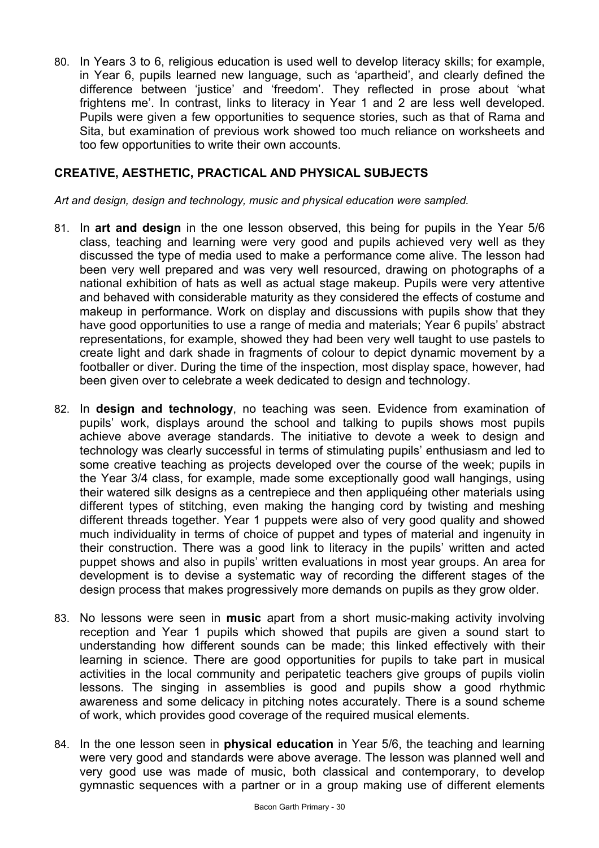80. In Years 3 to 6, religious education is used well to develop literacy skills; for example, in Year 6, pupils learned new language, such as 'apartheid', and clearly defined the difference between 'justice' and 'freedom'. They reflected in prose about 'what frightens me'. In contrast, links to literacy in Year 1 and 2 are less well developed. Pupils were given a few opportunities to sequence stories, such as that of Rama and Sita, but examination of previous work showed too much reliance on worksheets and too few opportunities to write their own accounts.

## **CREATIVE, AESTHETIC, PRACTICAL AND PHYSICAL SUBJECTS**

*Art and design, design and technology, music and physical education were sampled.* 

- 81. In **art and design** in the one lesson observed, this being for pupils in the Year 5/6 class, teaching and learning were very good and pupils achieved very well as they discussed the type of media used to make a performance come alive. The lesson had been very well prepared and was very well resourced, drawing on photographs of a national exhibition of hats as well as actual stage makeup. Pupils were very attentive and behaved with considerable maturity as they considered the effects of costume and makeup in performance. Work on display and discussions with pupils show that they have good opportunities to use a range of media and materials; Year 6 pupils' abstract representations, for example, showed they had been very well taught to use pastels to create light and dark shade in fragments of colour to depict dynamic movement by a footballer or diver. During the time of the inspection, most display space, however, had been given over to celebrate a week dedicated to design and technology.
- 82. In **design and technology**, no teaching was seen. Evidence from examination of pupils' work, displays around the school and talking to pupils shows most pupils achieve above average standards. The initiative to devote a week to design and technology was clearly successful in terms of stimulating pupils' enthusiasm and led to some creative teaching as projects developed over the course of the week; pupils in the Year 3/4 class, for example, made some exceptionally good wall hangings, using their watered silk designs as a centrepiece and then appliquéing other materials using different types of stitching, even making the hanging cord by twisting and meshing different threads together. Year 1 puppets were also of very good quality and showed much individuality in terms of choice of puppet and types of material and ingenuity in their construction. There was a good link to literacy in the pupils' written and acted puppet shows and also in pupils' written evaluations in most year groups. An area for development is to devise a systematic way of recording the different stages of the design process that makes progressively more demands on pupils as they grow older.
- 83. No lessons were seen in **music** apart from a short music-making activity involving reception and Year 1 pupils which showed that pupils are given a sound start to understanding how different sounds can be made; this linked effectively with their learning in science. There are good opportunities for pupils to take part in musical activities in the local community and peripatetic teachers give groups of pupils violin lessons. The singing in assemblies is good and pupils show a good rhythmic awareness and some delicacy in pitching notes accurately. There is a sound scheme of work, which provides good coverage of the required musical elements.
- 84. In the one lesson seen in **physical education** in Year 5/6, the teaching and learning were very good and standards were above average. The lesson was planned well and very good use was made of music, both classical and contemporary, to develop gymnastic sequences with a partner or in a group making use of different elements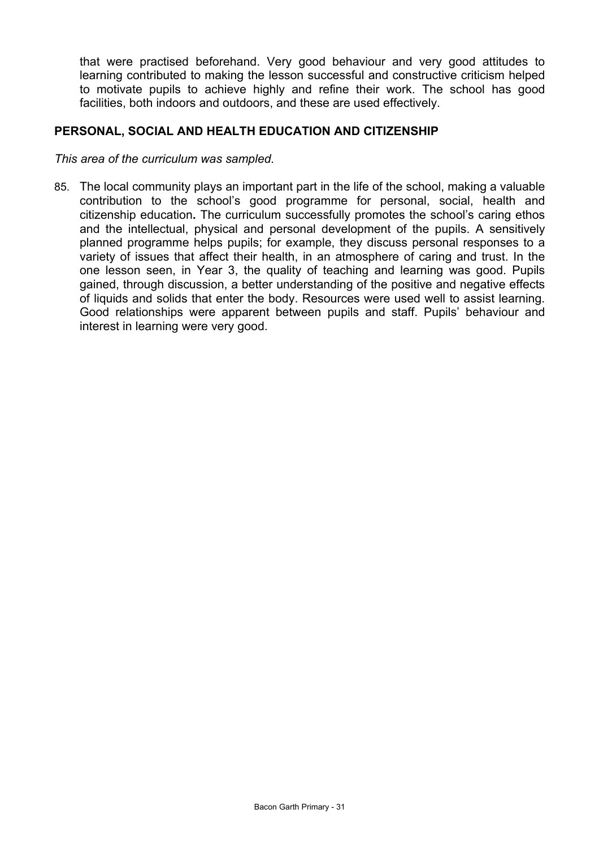that were practised beforehand. Very good behaviour and very good attitudes to learning contributed to making the lesson successful and constructive criticism helped to motivate pupils to achieve highly and refine their work. The school has good facilities, both indoors and outdoors, and these are used effectively.

#### **PERSONAL, SOCIAL AND HEALTH EDUCATION AND CITIZENSHIP**

*This area of the curriculum was sampled.* 

85. The local community plays an important part in the life of the school, making a valuable contribution to the school's good programme for personal, social, health and citizenship education**.** The curriculum successfully promotes the school's caring ethos and the intellectual, physical and personal development of the pupils. A sensitively planned programme helps pupils; for example, they discuss personal responses to a variety of issues that affect their health, in an atmosphere of caring and trust. In the one lesson seen, in Year 3, the quality of teaching and learning was good. Pupils gained, through discussion, a better understanding of the positive and negative effects of liquids and solids that enter the body. Resources were used well to assist learning. Good relationships were apparent between pupils and staff. Pupils' behaviour and interest in learning were very good.